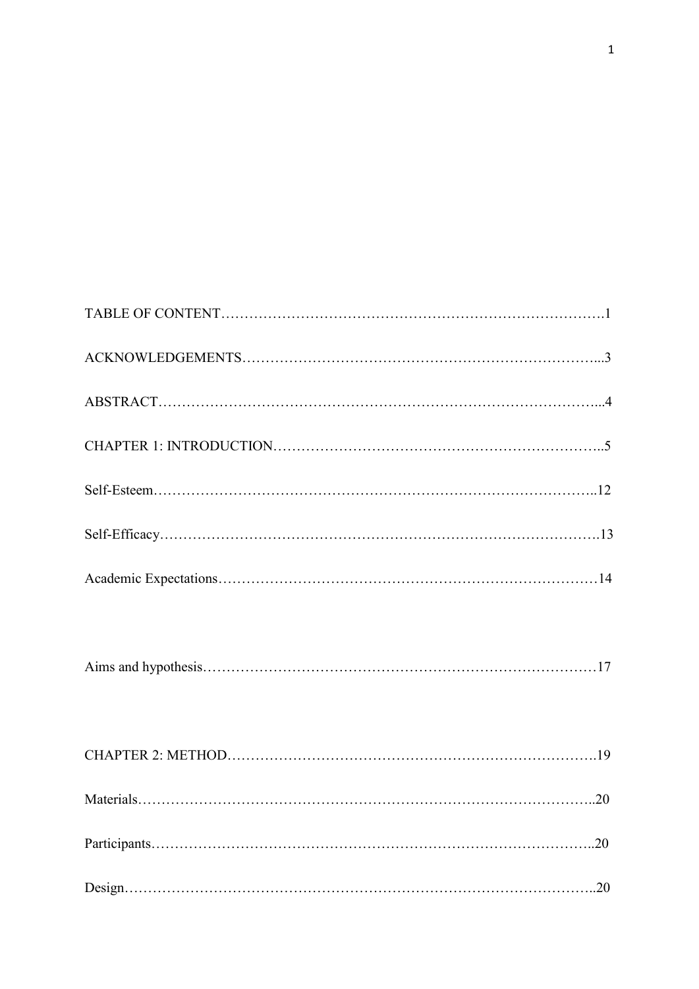TABLE OF CONTENT……………………………………………………………………….1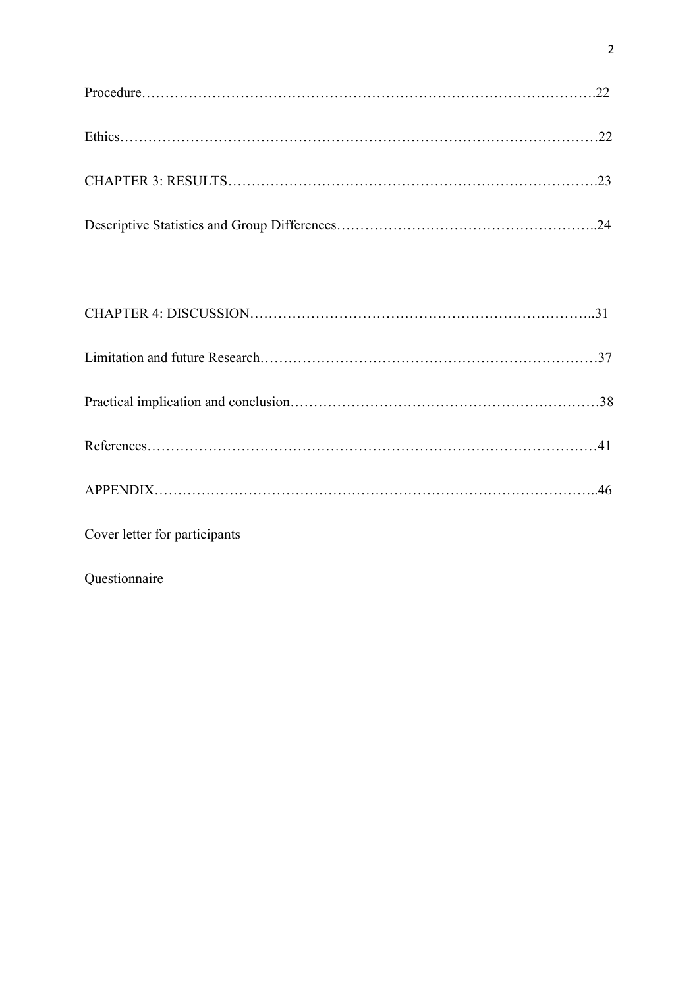Cover letter for participants

Questionnaire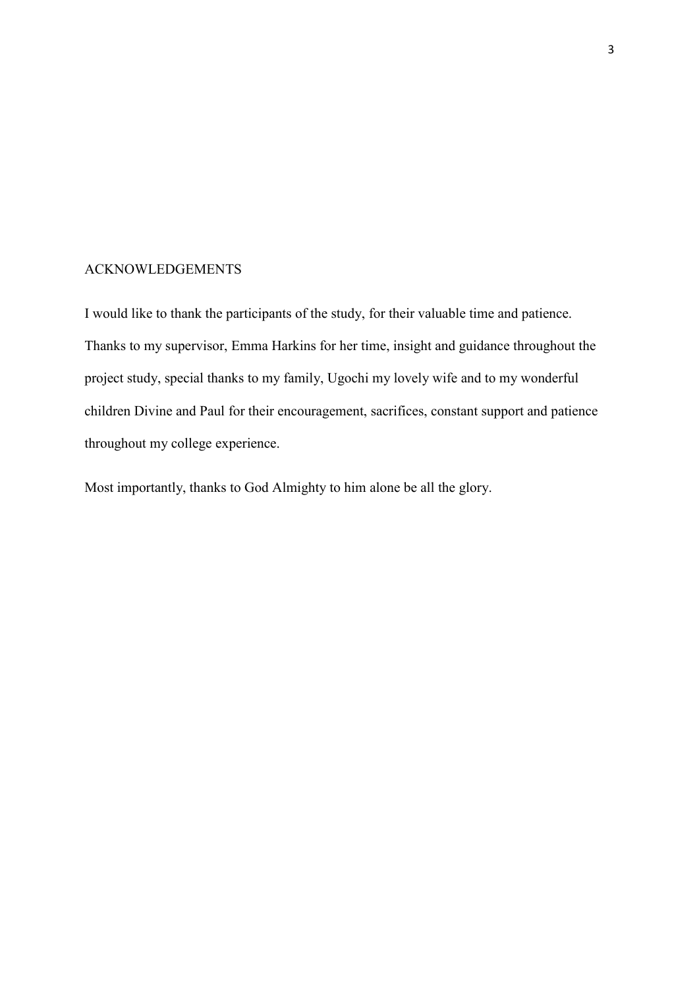## ACKNOWLEDGEMENTS

I would like to thank the participants of the study, for their valuable time and patience. Thanks to my supervisor, Emma Harkins for her time, insight and guidance throughout the project study, special thanks to my family, Ugochi my lovely wife and to my wonderful children Divine and Paul for their encouragement, sacrifices, constant support and patience throughout my college experience.

Most importantly, thanks to God Almighty to him alone be all the glory.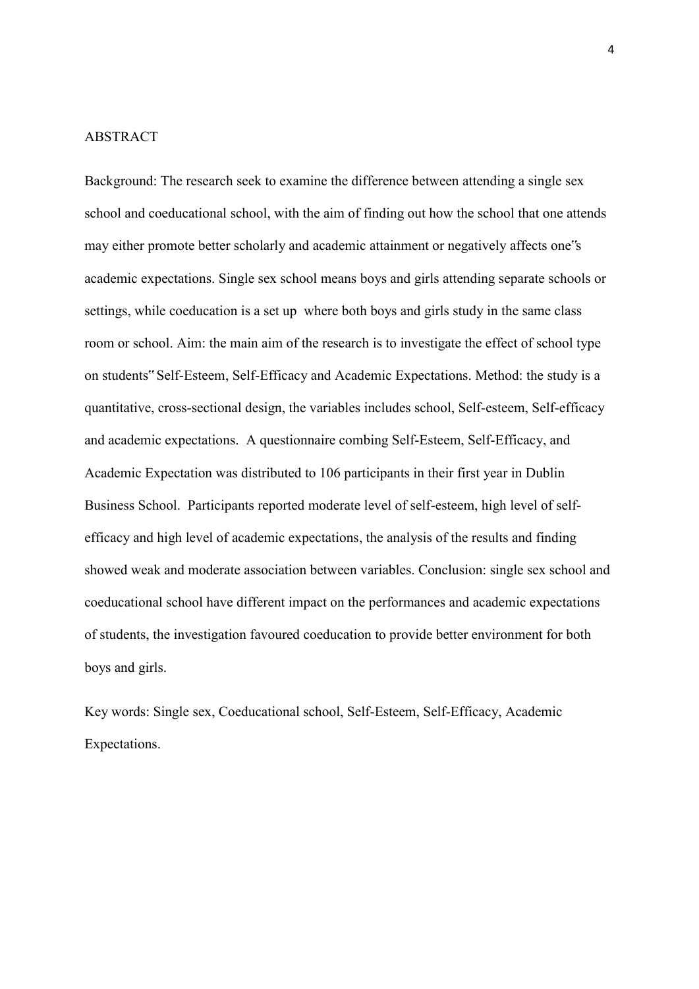## ABSTRACT

Background: The research seek to examine the difference between attending a single sex school and coeducational school, with the aim of finding out how the school that one attends may either promote better scholarly and academic attainment or negatively affects one"s academic expectations. Single sex school means boys and girls attending separate schools or settings, while coeducation is a set up where both boys and girls study in the same class room or school. Aim: the main aim of the research is to investigate the effect of school type on students" Self-Esteem, Self-Efficacy and Academic Expectations. Method: the study is a quantitative, cross-sectional design, the variables includes school, Self-esteem, Self-efficacy and academic expectations. A questionnaire combing Self-Esteem, Self-Efficacy, and Academic Expectation was distributed to 106 participants in their first year in Dublin Business School. Participants reported moderate level of self-esteem, high level of selfefficacy and high level of academic expectations, the analysis of the results and finding showed weak and moderate association between variables. Conclusion: single sex school and coeducational school have different impact on the performances and academic expectations of students, the investigation favoured coeducation to provide better environment for both boys and girls.

Key words: Single sex, Coeducational school, Self-Esteem, Self-Efficacy, Academic Expectations.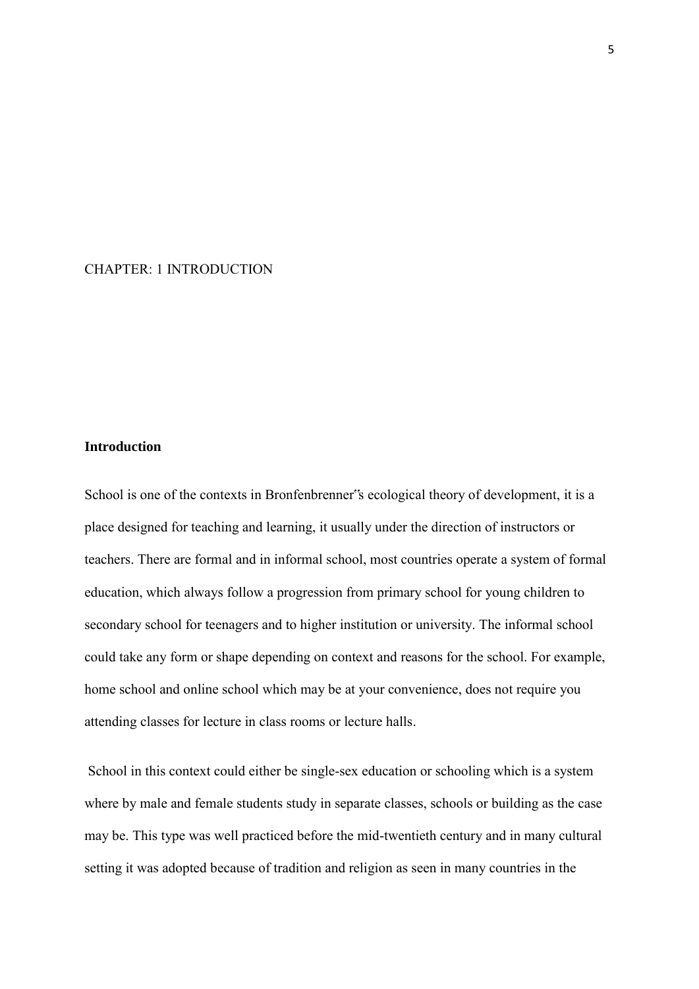## CHAPTER: 1 INTRODUCTION

## **Introduction**

School is one of the contexts in Bronfenbrenner"s ecological theory of development, it is a place designed for teaching and learning, it usually under the direction of instructors or teachers. There are formal and in informal school, most countries operate a system of formal education, which always follow a progression from primary school for young children to secondary school for teenagers and to higher institution or university. The informal school could take any form or shape depending on context and reasons for the school. For example, home school and online school which may be at your convenience, does not require you attending classes for lecture in class rooms or lecture halls.

School in this context could either be single-sex education or schooling which is a system where by male and female students study in separate classes, schools or building as the case may be. This type was well practiced before the mid-twentieth century and in many cultural setting it was adopted because of tradition and religion as seen in many countries in the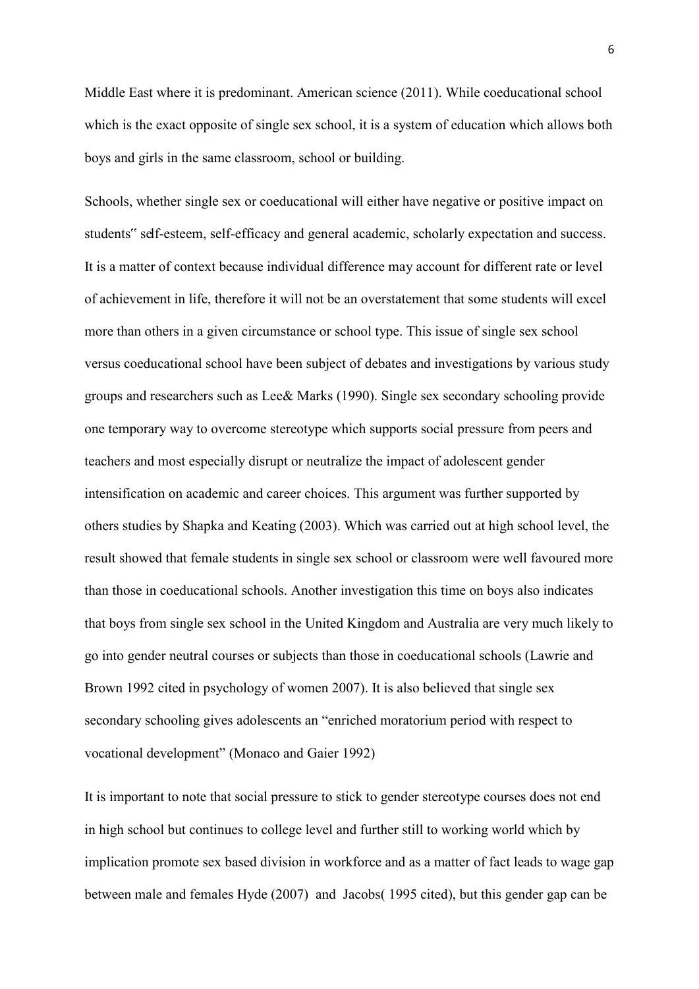Middle East where it is predominant. American science (2011). While coeducational school which is the exact opposite of single sex school, it is a system of education which allows both boys and girls in the same classroom, school or building.

Schools, whether single sex or coeducational will either have negative or positive impact on students" self-esteem, self-efficacy and general academic, scholarly expectation and success. It is a matter of context because individual difference may account for different rate or level of achievement in life, therefore it will not be an overstatement that some students will excel more than others in a given circumstance or school type. This issue of single sex school versus coeducational school have been subject of debates and investigations by various study groups and researchers such as Lee& Marks (1990). Single sex secondary schooling provide one temporary way to overcome stereotype which supports social pressure from peers and teachers and most especially disrupt or neutralize the impact of adolescent gender intensification on academic and career choices. This argument was further supported by others studies by Shapka and Keating (2003). Which was carried out at high school level, the result showed that female students in single sex school or classroom were well favoured more than those in coeducational schools. Another investigation this time on boys also indicates that boys from single sex school in the United Kingdom and Australia are very much likely to go into gender neutral courses or subjects than those in coeducational schools (Lawrie and Brown 1992 cited in psychology of women 2007). It is also believed that single sex secondary schooling gives adolescents an "enriched moratorium period with respect to vocational development" (Monaco and Gaier 1992)

It is important to note that social pressure to stick to gender stereotype courses does not end in high school but continues to college level and further still to working world which by implication promote sex based division in workforce and as a matter of fact leads to wage gap between male and females Hyde (2007) and Jacobs( 1995 cited), but this gender gap can be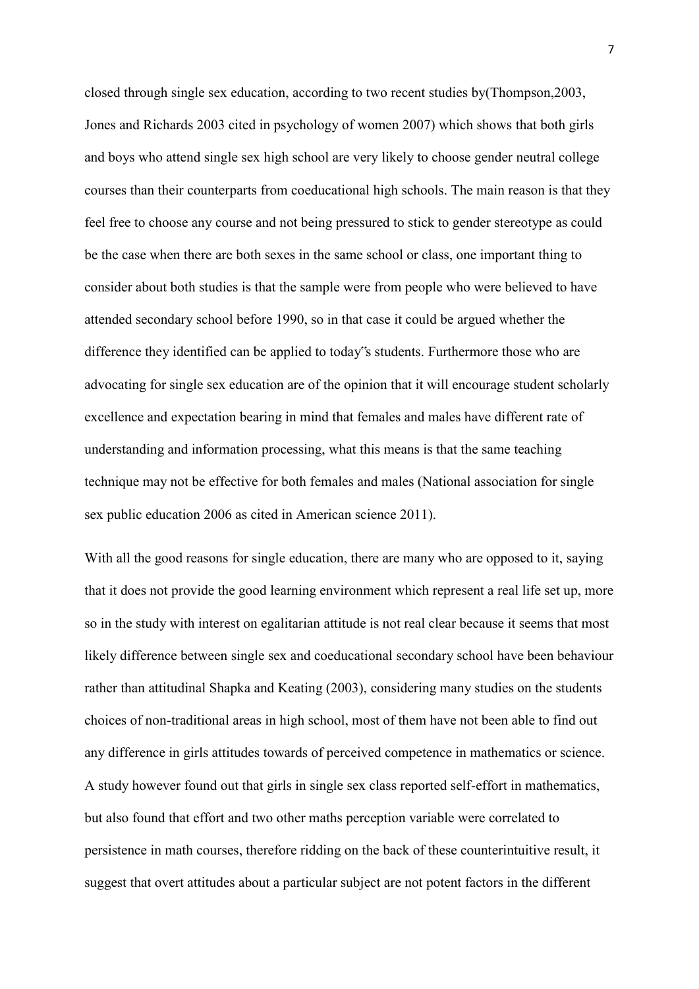closed through single sex education, according to two recent studies by(Thompson,2003, Jones and Richards 2003 cited in psychology of women 2007) which shows that both girls and boys who attend single sex high school are very likely to choose gender neutral college courses than their counterparts from coeducational high schools. The main reason is that they feel free to choose any course and not being pressured to stick to gender stereotype as could be the case when there are both sexes in the same school or class, one important thing to consider about both studies is that the sample were from people who were believed to have attended secondary school before 1990, so in that case it could be argued whether the difference they identified can be applied to today"s students. Furthermore those who are advocating for single sex education are of the opinion that it will encourage student scholarly excellence and expectation bearing in mind that females and males have different rate of understanding and information processing, what this means is that the same teaching technique may not be effective for both females and males (National association for single sex public education 2006 as cited in American science 2011).

With all the good reasons for single education, there are many who are opposed to it, saying that it does not provide the good learning environment which represent a real life set up, more so in the study with interest on egalitarian attitude is not real clear because it seems that most likely difference between single sex and coeducational secondary school have been behaviour rather than attitudinal Shapka and Keating (2003), considering many studies on the students choices of non-traditional areas in high school, most of them have not been able to find out any difference in girls attitudes towards of perceived competence in mathematics or science. A study however found out that girls in single sex class reported self-effort in mathematics, but also found that effort and two other maths perception variable were correlated to persistence in math courses, therefore ridding on the back of these counterintuitive result, it suggest that overt attitudes about a particular subject are not potent factors in the different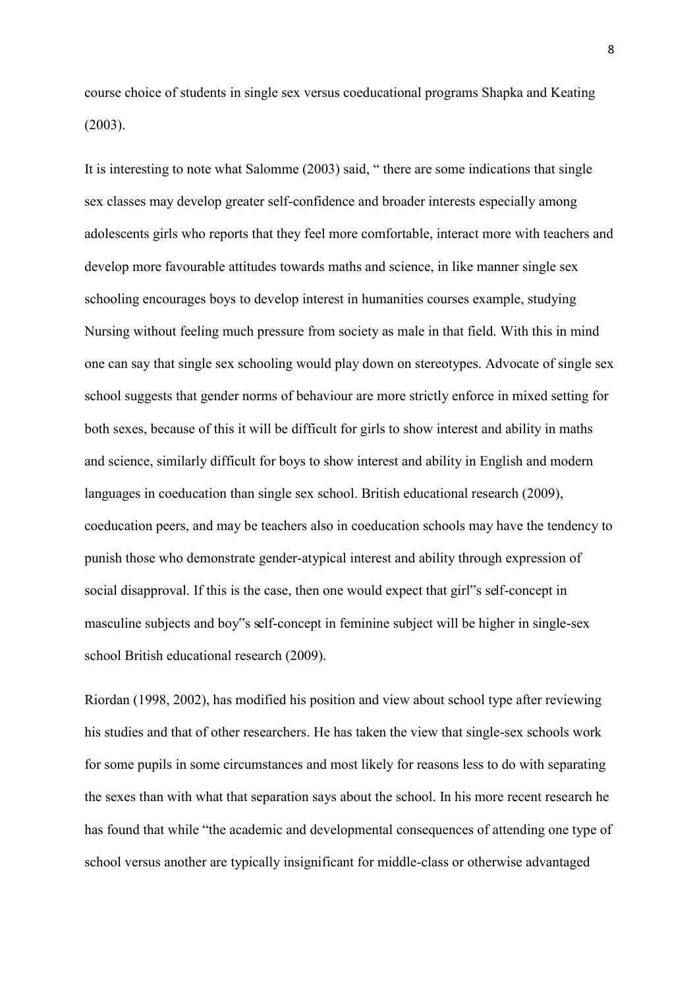course choice of students in single sex versus coeducational programs Shapka and Keating (2003).

It is interesting to note what Salomme (2003) said, " there are some indications that single sex classes may develop greater self-confidence and broader interests especially among adolescents girls who reports that they feel more comfortable, interact more with teachers and develop more favourable attitudes towards maths and science, in like manner single sex schooling encourages boys to develop interest in humanities courses example, studying Nursing without feeling much pressure from society as male in that field. With this in mind one can say that single sex schooling would play down on stereotypes. Advocate of single sex school suggests that gender norms of behaviour are more strictly enforce in mixed setting for both sexes, because of this it will be difficult for girls to show interest and ability in maths and science, similarly difficult for boys to show interest and ability in English and modern languages in coeducation than single sex school. British educational research (2009), coeducation peers, and may be teachers also in coeducation schools may have the tendency to punish those who demonstrate gender-atypical interest and ability through expression of social disapproval. If this is the case, then one would expect that girl<sup>\*\*</sup>s self-concept in masculine subjects and boy"s self-concept in feminine subject will be higher in single-sex school British educational research (2009).

Riordan (1998, 2002), has modified his position and view about school type after reviewing his studies and that of other researchers. He has taken the view that single-sex schools work for some pupils in some circumstances and most likely for reasons less to do with separating the sexes than with what that separation says about the school. In his more recent research he has found that while "the academic and developmental consequences of attending one type of school versus another are typically insignificant for middle-class or otherwise advantaged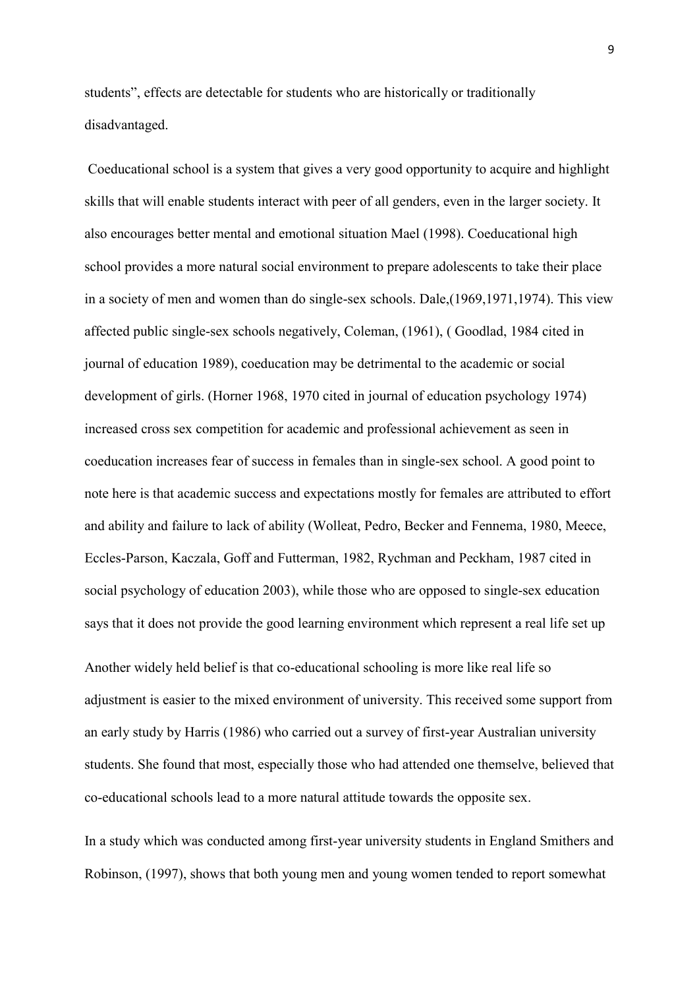students", effects are detectable for students who are historically or traditionally disadvantaged.

Coeducational school is a system that gives a very good opportunity to acquire and highlight skills that will enable students interact with peer of all genders, even in the larger society. It also encourages better mental and emotional situation Mael (1998). Coeducational high school provides a more natural social environment to prepare adolescents to take their place in a society of men and women than do single-sex schools. Dale,(1969,1971,1974). This view affected public single-sex schools negatively, Coleman, (1961), ( Goodlad, 1984 cited in journal of education 1989), coeducation may be detrimental to the academic or social development of girls. (Horner 1968, 1970 cited in journal of education psychology 1974) increased cross sex competition for academic and professional achievement as seen in coeducation increases fear of success in females than in single-sex school. A good point to note here is that academic success and expectations mostly for females are attributed to effort and ability and failure to lack of ability (Wolleat, Pedro, Becker and Fennema, 1980, Meece, Eccles-Parson, Kaczala, Goff and Futterman, 1982, Rychman and Peckham, 1987 cited in social psychology of education 2003), while those who are opposed to single-sex education says that it does not provide the good learning environment which represent a real life set up

Another widely held belief is that co-educational schooling is more like real life so adjustment is easier to the mixed environment of university. This received some support from an early study by Harris (1986) who carried out a survey of first-year Australian university students. She found that most, especially those who had attended one themselve, believed that co-educational schools lead to a more natural attitude towards the opposite sex.

In a study which was conducted among first-year university students in England Smithers and Robinson, (1997), shows that both young men and young women tended to report somewhat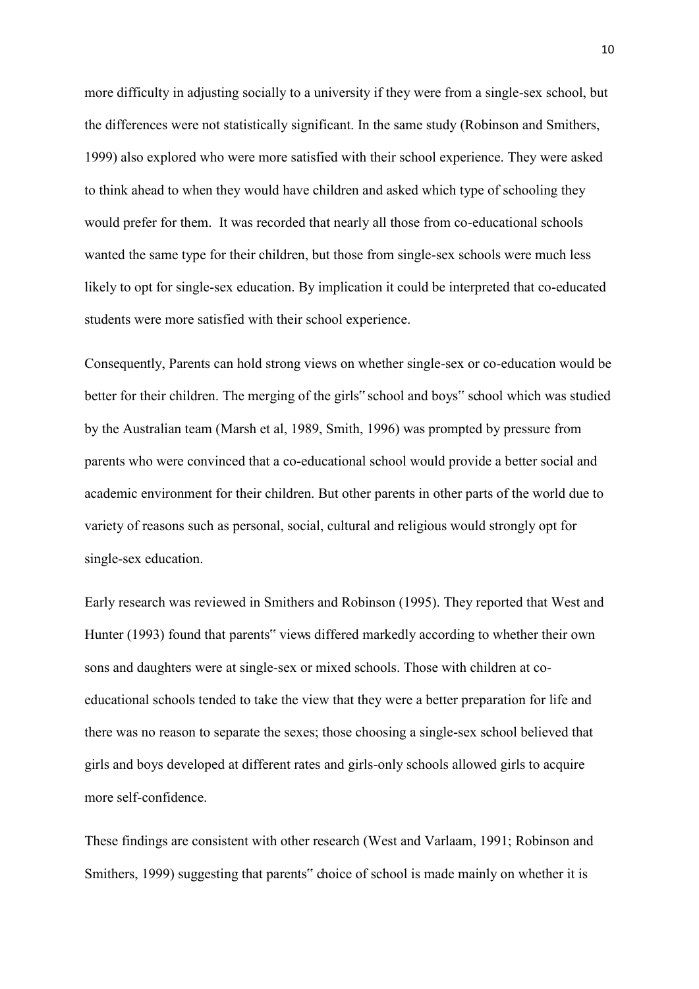more difficulty in adjusting socially to a university if they were from a single-sex school, but the differences were not statistically significant. In the same study (Robinson and Smithers, 1999) also explored who were more satisfied with their school experience. They were asked to think ahead to when they would have children and asked which type of schooling they would prefer for them. It was recorded that nearly all those from co-educational schools wanted the same type for their children, but those from single-sex schools were much less likely to opt for single-sex education. By implication it could be interpreted that co-educated students were more satisfied with their school experience.

Consequently, Parents can hold strong views on whether single-sex or co-education would be better for their children. The merging of the girls" school and boys" school which was studied by the Australian team (Marsh et al, 1989, Smith, 1996) was prompted by pressure from parents who were convinced that a co-educational school would provide a better social and academic environment for their children. But other parents in other parts of the world due to variety of reasons such as personal, social, cultural and religious would strongly opt for single-sex education.

Early research was reviewed in Smithers and Robinson (1995). They reported that West and Hunter (1993) found that parents" views differed markedly according to whether their own sons and daughters were at single-sex or mixed schools. Those with children at coeducational schools tended to take the view that they were a better preparation for life and there was no reason to separate the sexes; those choosing a single-sex school believed that girls and boys developed at different rates and girls-only schools allowed girls to acquire more self-confidence.

These findings are consistent with other research (West and Varlaam, 1991; Robinson and Smithers, 1999) suggesting that parents" choice of school is made mainly on whether it is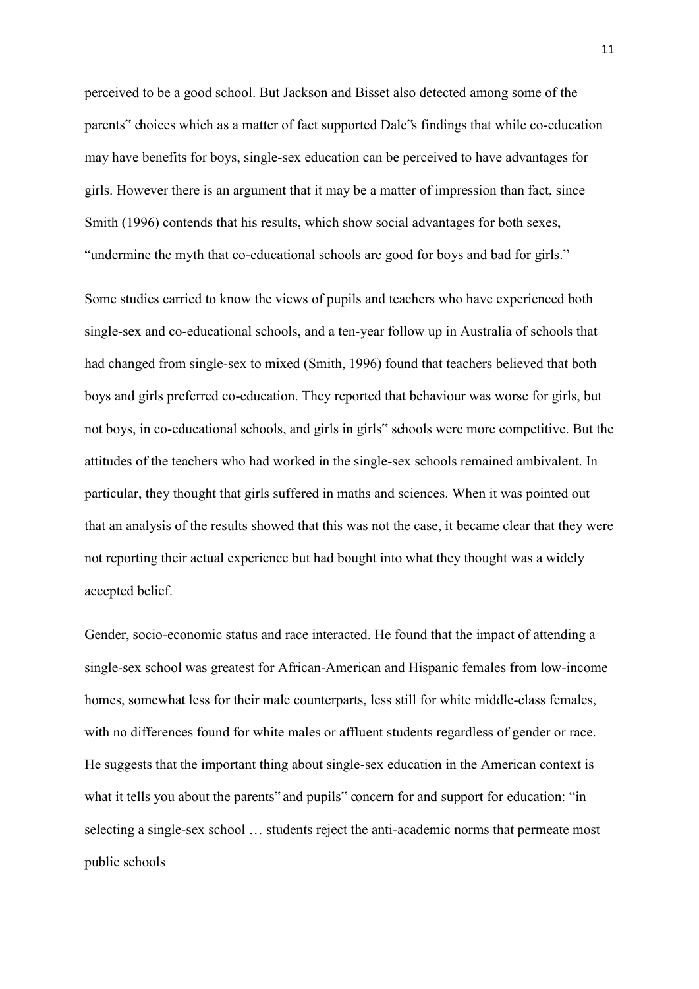perceived to be a good school. But Jackson and Bisset also detected among some of the parents" choices which as a matter of fact supported Dale"s findings that while co-education may have benefits for boys, single-sex education can be perceived to have advantages for girls. However there is an argument that it may be a matter of impression than fact, since Smith (1996) contends that his results, which show social advantages for both sexes, "undermine the myth that co-educational schools are good for boys and bad for girls."

Some studies carried to know the views of pupils and teachers who have experienced both single-sex and co-educational schools, and a ten-year follow up in Australia of schools that had changed from single-sex to mixed (Smith, 1996) found that teachers believed that both boys and girls preferred co-education. They reported that behaviour was worse for girls, but not boys, in co-educational schools, and girls in girls" schools were more competitive. But the attitudes of the teachers who had worked in the single-sex schools remained ambivalent. In particular, they thought that girls suffered in maths and sciences. When it was pointed out that an analysis of the results showed that this was not the case, it became clear that they were not reporting their actual experience but had bought into what they thought was a widely accepted belief.

Gender, socio-economic status and race interacted. He found that the impact of attending a single-sex school was greatest for African-American and Hispanic females from low-income homes, somewhat less for their male counterparts, less still for white middle-class females, with no differences found for white males or affluent students regardless of gender or race. He suggests that the important thing about single-sex education in the American context is what it tells you about the parents" and pupils" concern for and support for education: "in selecting a single-sex school … students reject the anti-academic norms that permeate most public schools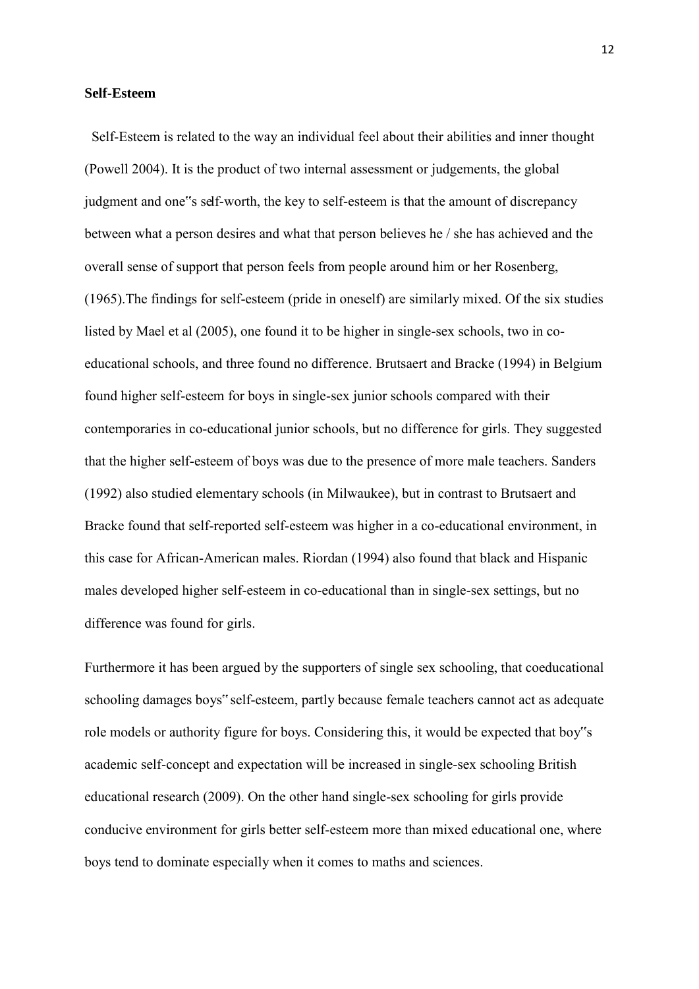#### **Self-Esteem**

 Self-Esteem is related to the way an individual feel about their abilities and inner thought (Powell 2004). It is the product of two internal assessment or judgements, the global judgment and one"s self-worth, the key to self-esteem is that the amount of discrepancy between what a person desires and what that person believes he / she has achieved and the overall sense of support that person feels from people around him or her Rosenberg, (1965).The findings for self-esteem (pride in oneself) are similarly mixed. Of the six studies listed by Mael et al (2005), one found it to be higher in single-sex schools, two in coeducational schools, and three found no difference. Brutsaert and Bracke (1994) in Belgium found higher self-esteem for boys in single-sex junior schools compared with their contemporaries in co-educational junior schools, but no difference for girls. They suggested that the higher self-esteem of boys was due to the presence of more male teachers. Sanders (1992) also studied elementary schools (in Milwaukee), but in contrast to Brutsaert and Bracke found that self-reported self-esteem was higher in a co-educational environment, in this case for African-American males. Riordan (1994) also found that black and Hispanic males developed higher self-esteem in co-educational than in single-sex settings, but no difference was found for girls.

Furthermore it has been argued by the supporters of single sex schooling, that coeducational schooling damages boys" self-esteem, partly because female teachers cannot act as adequate role models or authority figure for boys. Considering this, it would be expected that boy"s academic self-concept and expectation will be increased in single-sex schooling British educational research (2009). On the other hand single-sex schooling for girls provide conducive environment for girls better self-esteem more than mixed educational one, where boys tend to dominate especially when it comes to maths and sciences.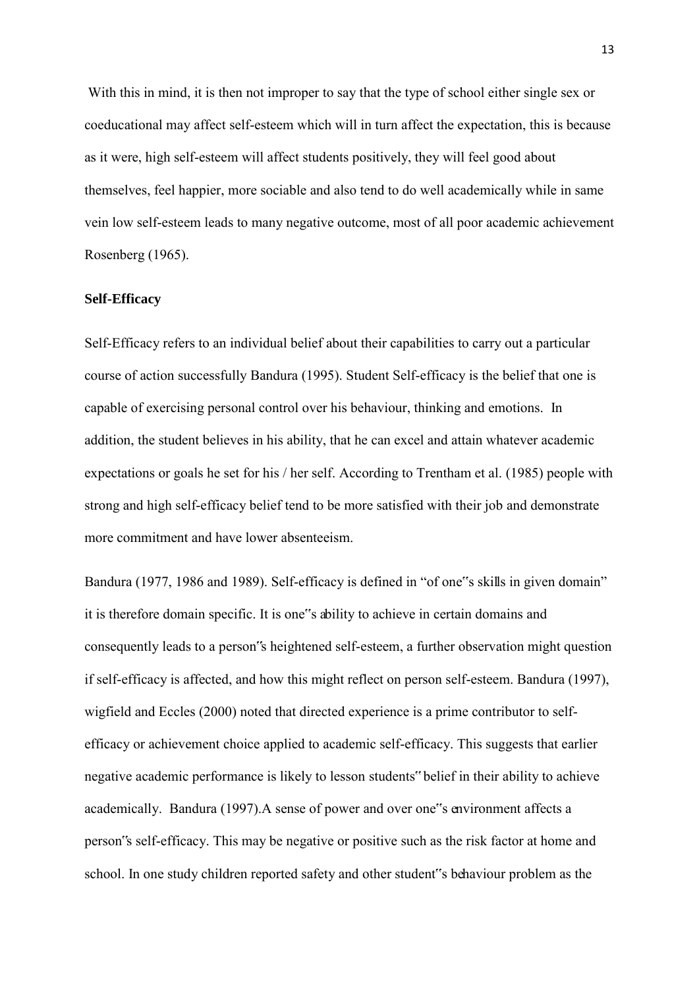With this in mind, it is then not improper to say that the type of school either single sex or coeducational may affect self-esteem which will in turn affect the expectation, this is because as it were, high self-esteem will affect students positively, they will feel good about themselves, feel happier, more sociable and also tend to do well academically while in same vein low self-esteem leads to many negative outcome, most of all poor academic achievement Rosenberg (1965).

#### **Self-Efficacy**

Self-Efficacy refers to an individual belief about their capabilities to carry out a particular course of action successfully Bandura (1995). Student Self-efficacy is the belief that one is capable of exercising personal control over his behaviour, thinking and emotions. In addition, the student believes in his ability, that he can excel and attain whatever academic expectations or goals he set for his / her self. According to Trentham et al. (1985) people with strong and high self-efficacy belief tend to be more satisfied with their job and demonstrate more commitment and have lower absenteeism.

Bandura (1977, 1986 and 1989). Self-efficacy is defined in "of one"s skills in given domain" it is therefore domain specific. It is one"s ability to achieve in certain domains and consequently leads to a person"s heightened self-esteem, a further observation might question if self-efficacy is affected, and how this might reflect on person self-esteem. Bandura (1997), wigfield and Eccles (2000) noted that directed experience is a prime contributor to selfefficacy or achievement choice applied to academic self-efficacy. This suggests that earlier negative academic performance is likely to lesson students" belief in their ability to achieve academically. Bandura (1997).A sense of power and over one"s environment affects a person"s self-efficacy. This may be negative or positive such as the risk factor at home and school. In one study children reported safety and other student"s behaviour problem as the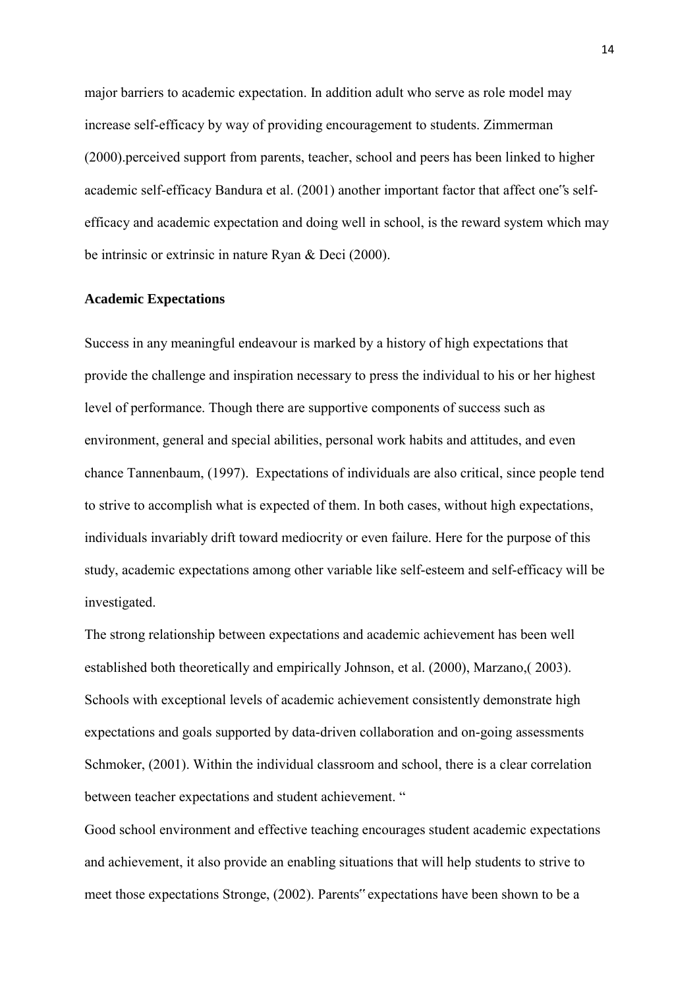major barriers to academic expectation. In addition adult who serve as role model may increase self-efficacy by way of providing encouragement to students. Zimmerman (2000).perceived support from parents, teacher, school and peers has been linked to higher academic self-efficacy Bandura et al. (2001) another important factor that affect one"s selfefficacy and academic expectation and doing well in school, is the reward system which may be intrinsic or extrinsic in nature Ryan & Deci (2000).

#### **Academic Expectations**

Success in any meaningful endeavour is marked by a history of high expectations that provide the challenge and inspiration necessary to press the individual to his or her highest level of performance. Though there are supportive components of success such as environment, general and special abilities, personal work habits and attitudes, and even chance Tannenbaum, (1997). Expectations of individuals are also critical, since people tend to strive to accomplish what is expected of them. In both cases, without high expectations, individuals invariably drift toward mediocrity or even failure. Here for the purpose of this study, academic expectations among other variable like self-esteem and self-efficacy will be investigated.

The strong relationship between expectations and academic achievement has been well established both theoretically and empirically Johnson, et al. (2000), Marzano,( 2003). Schools with exceptional levels of academic achievement consistently demonstrate high expectations and goals supported by data-driven collaboration and on-going assessments Schmoker, (2001). Within the individual classroom and school, there is a clear correlation between teacher expectations and student achievement. "

Good school environment and effective teaching encourages student academic expectations and achievement, it also provide an enabling situations that will help students to strive to meet those expectations Stronge, (2002). Parents" expectations have been shown to be a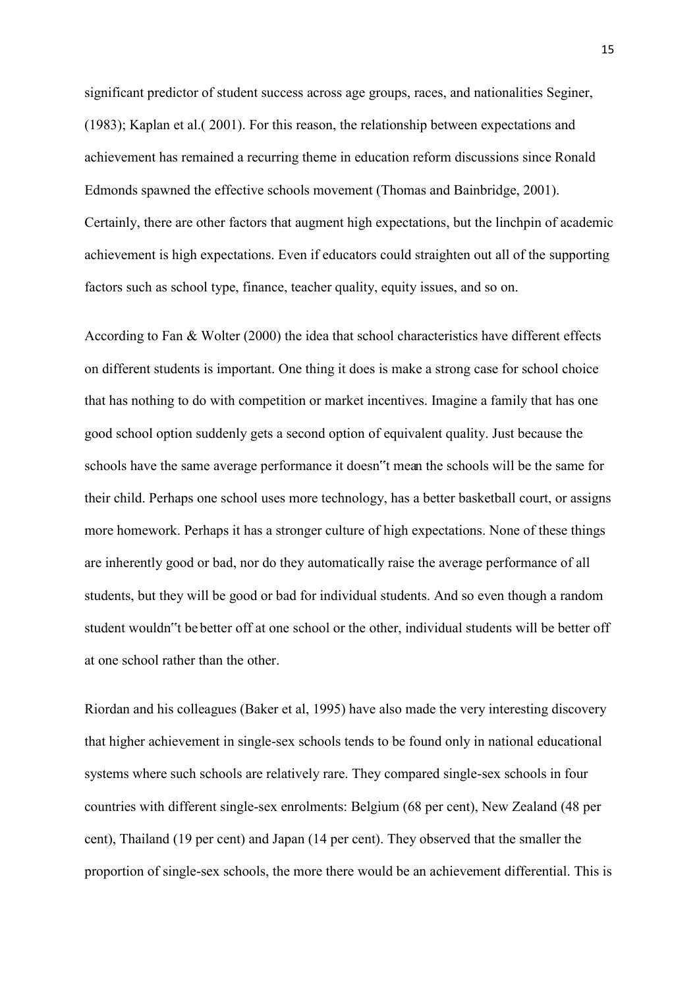significant predictor of student success across age groups, races, and nationalities Seginer, (1983); Kaplan et al.( 2001). For this reason, the relationship between expectations and achievement has remained a recurring theme in education reform discussions since Ronald Edmonds spawned the effective schools movement (Thomas and Bainbridge, 2001). Certainly, there are other factors that augment high expectations, but the linchpin of academic achievement is high expectations. Even if educators could straighten out all of the supporting factors such as school type, finance, teacher quality, equity issues, and so on.

According to Fan & Wolter (2000) the idea that school characteristics have different effects on different students is important. One thing it does is make a strong case for school choice that has nothing to do with competition or market incentives. Imagine a family that has one good school option suddenly gets a second option of equivalent quality. Just because the schools have the same average performance it doesn"t mean the schools will be the same for their child. Perhaps one school uses more technology, has a better basketball court, or assigns more homework. Perhaps it has a stronger culture of high expectations. None of these things are inherently good or bad, nor do they automatically raise the average performance of all students, but they will be good or bad for individual students. And so even though a random student wouldn"t be better off at one school or the other, individual students will be better off at one school rather than the other.

Riordan and his colleagues (Baker et al, 1995) have also made the very interesting discovery that higher achievement in single-sex schools tends to be found only in national educational systems where such schools are relatively rare. They compared single-sex schools in four countries with different single-sex enrolments: Belgium (68 per cent), New Zealand (48 per cent), Thailand (19 per cent) and Japan (14 per cent). They observed that the smaller the proportion of single-sex schools, the more there would be an achievement differential. This is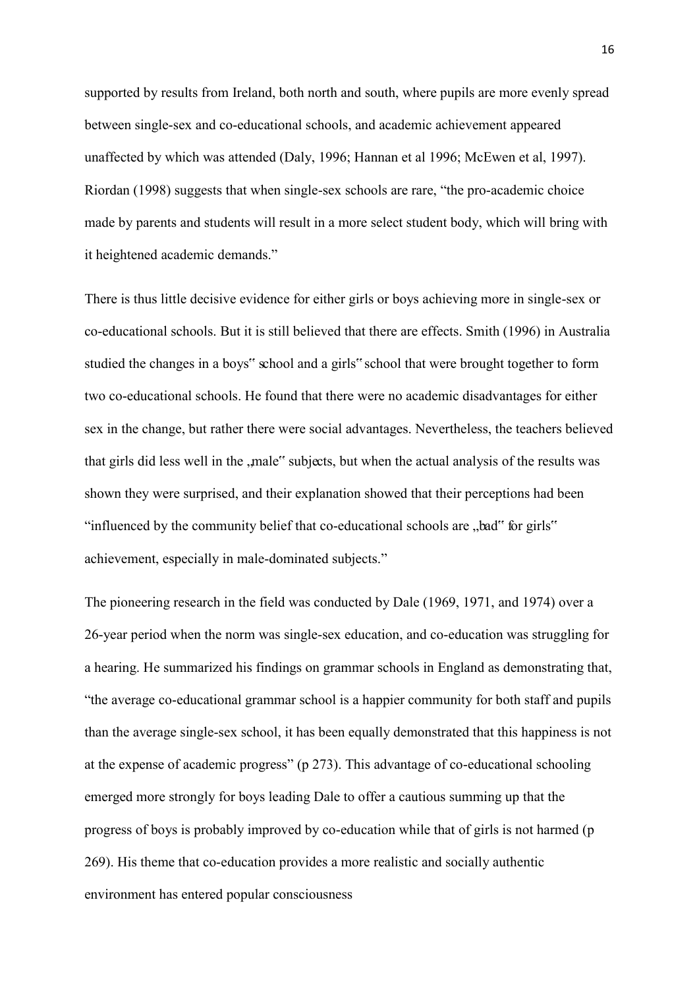supported by results from Ireland, both north and south, where pupils are more evenly spread between single-sex and co-educational schools, and academic achievement appeared unaffected by which was attended (Daly, 1996; Hannan et al 1996; McEwen et al, 1997). Riordan (1998) suggests that when single-sex schools are rare, "the pro-academic choice made by parents and students will result in a more select student body, which will bring with it heightened academic demands."

There is thus little decisive evidence for either girls or boys achieving more in single-sex or co-educational schools. But it is still believed that there are effects. Smith (1996) in Australia studied the changes in a boys" school and a girls" school that were brought together to form two co-educational schools. He found that there were no academic disadvantages for either sex in the change, but rather there were social advantages. Nevertheless, the teachers believed that girls did less well in the "male" subjects, but when the actual analysis of the results was shown they were surprised, and their explanation showed that their perceptions had been "influenced by the community belief that co-educational schools are "bad" for girls" achievement, especially in male-dominated subjects."

The pioneering research in the field was conducted by Dale (1969, 1971, and 1974) over a 26-year period when the norm was single-sex education, and co-education was struggling for a hearing. He summarized his findings on grammar schools in England as demonstrating that, "the average co-educational grammar school is a happier community for both staff and pupils than the average single-sex school, it has been equally demonstrated that this happiness is not at the expense of academic progress" (p 273). This advantage of co-educational schooling emerged more strongly for boys leading Dale to offer a cautious summing up that the progress of boys is probably improved by co-education while that of girls is not harmed (p 269). His theme that co-education provides a more realistic and socially authentic environment has entered popular consciousness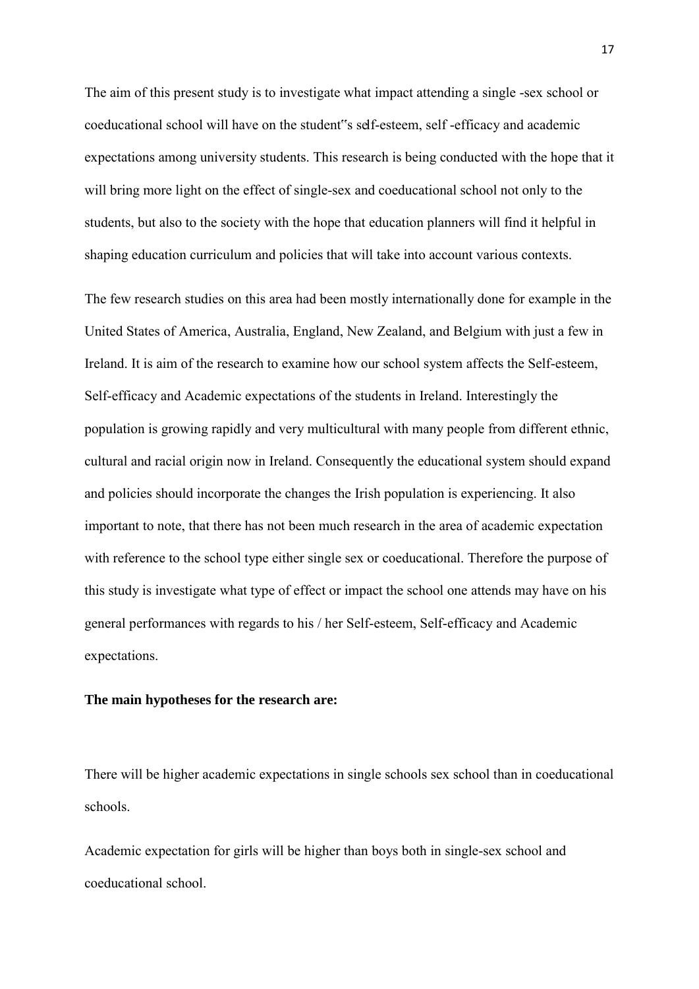The aim of this present study is to investigate what impact attending a single -sex school or coeducational school will have on the student"s self-esteem, self -efficacy and academic expectations among university students. This research is being conducted with the hope that it will bring more light on the effect of single-sex and coeducational school not only to the students, but also to the society with the hope that education planners will find it helpful in shaping education curriculum and policies that will take into account various contexts.

The few research studies on this area had been mostly internationally done for example in the United States of America, Australia, England, New Zealand, and Belgium with just a few in Ireland. It is aim of the research to examine how our school system affects the Self-esteem, Self-efficacy and Academic expectations of the students in Ireland. Interestingly the population is growing rapidly and very multicultural with many people from different ethnic, cultural and racial origin now in Ireland. Consequently the educational system should expand and policies should incorporate the changes the Irish population is experiencing. It also important to note, that there has not been much research in the area of academic expectation with reference to the school type either single sex or coeducational. Therefore the purpose of this study is investigate what type of effect or impact the school one attends may have on his general performances with regards to his / her Self-esteem, Self-efficacy and Academic expectations.

### **The main hypotheses for the research are:**

There will be higher academic expectations in single schools sex school than in coeducational schools.

Academic expectation for girls will be higher than boys both in single-sex school and coeducational school.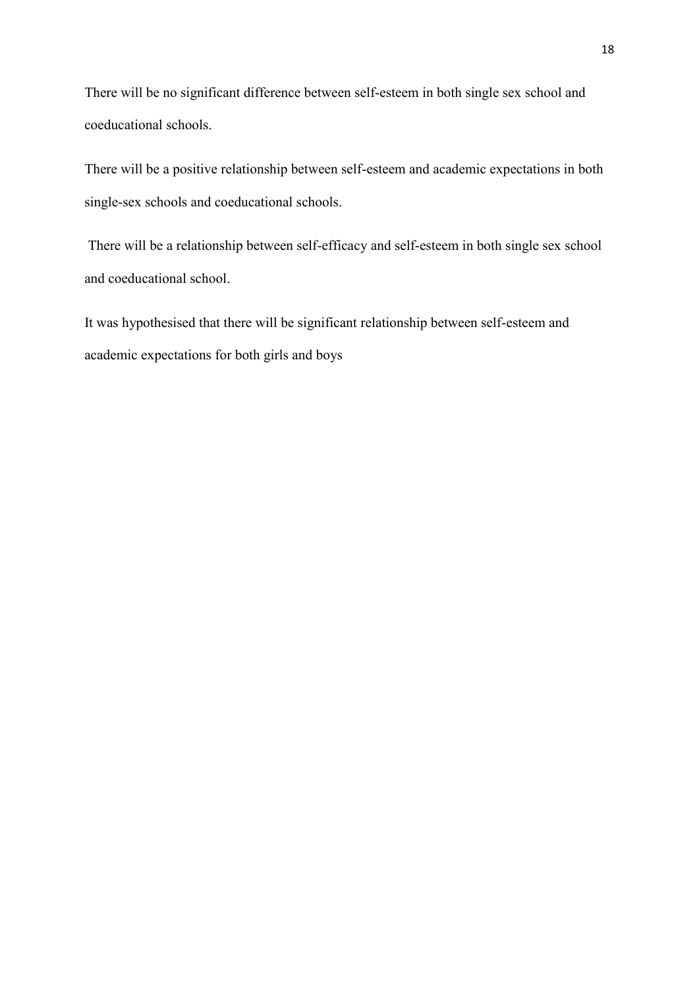There will be no significant difference between self-esteem in both single sex school and coeducational schools.

There will be a positive relationship between self-esteem and academic expectations in both single-sex schools and coeducational schools.

There will be a relationship between self-efficacy and self-esteem in both single sex school and coeducational school.

It was hypothesised that there will be significant relationship between self-esteem and academic expectations for both girls and boys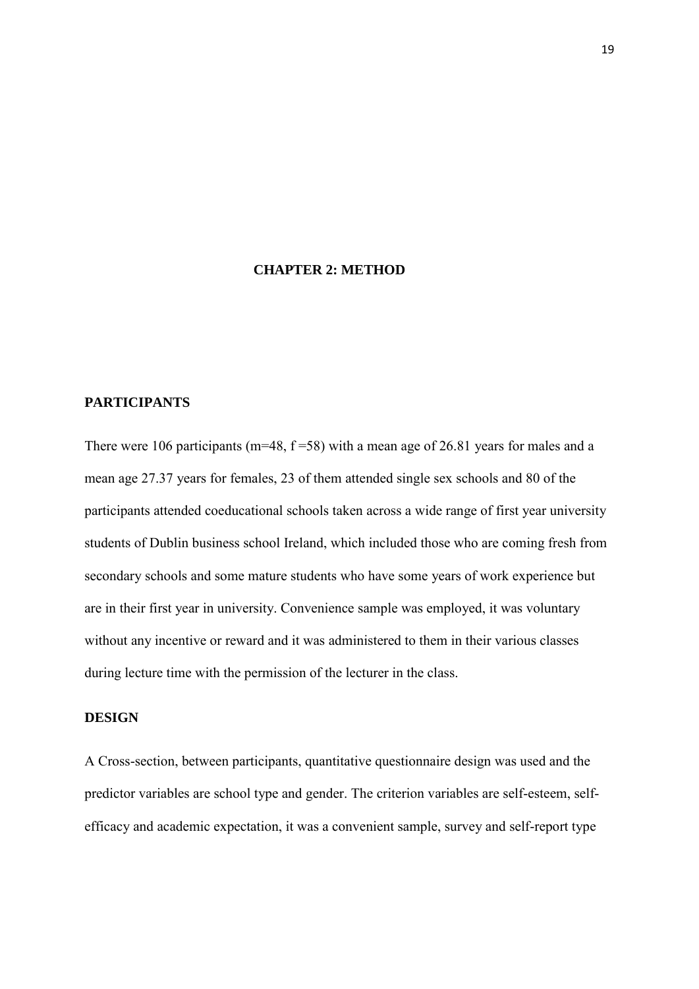## **CHAPTER 2: METHOD**

#### **PARTICIPANTS**

There were 106 participants ( $m=48$ ,  $f=58$ ) with a mean age of 26.81 years for males and a mean age 27.37 years for females, 23 of them attended single sex schools and 80 of the participants attended coeducational schools taken across a wide range of first year university students of Dublin business school Ireland, which included those who are coming fresh from secondary schools and some mature students who have some years of work experience but are in their first year in university. Convenience sample was employed, it was voluntary without any incentive or reward and it was administered to them in their various classes during lecture time with the permission of the lecturer in the class.

### **DESIGN**

A Cross-section, between participants, quantitative questionnaire design was used and the predictor variables are school type and gender. The criterion variables are self-esteem, selfefficacy and academic expectation, it was a convenient sample, survey and self-report type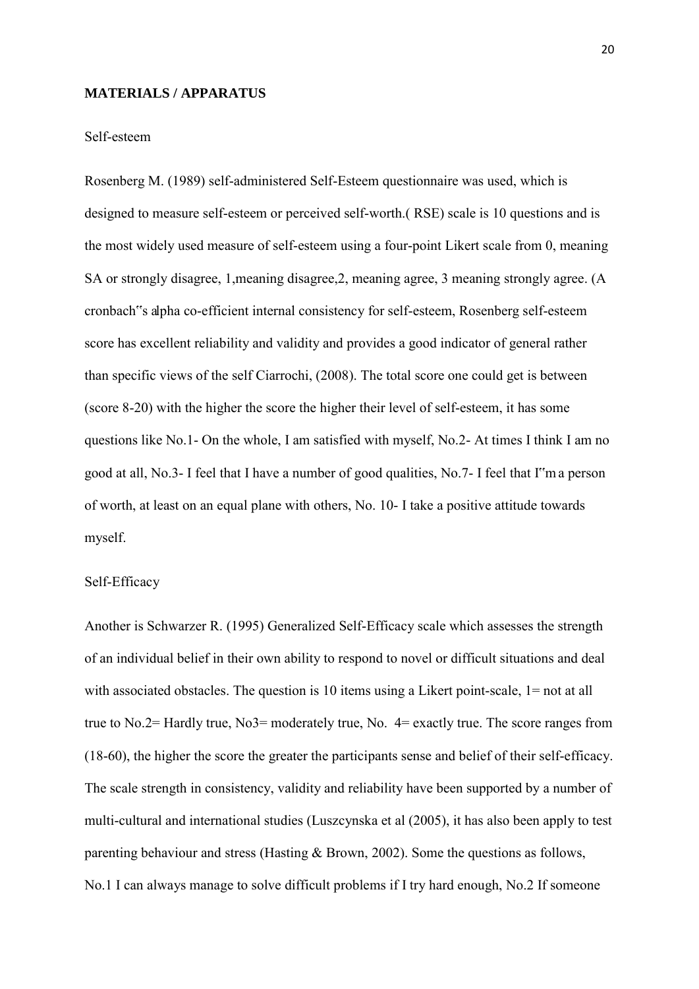#### **MATERIALS / APPARATUS**

### Self-esteem

Rosenberg M. (1989) self-administered Self-Esteem questionnaire was used, which is designed to measure self-esteem or perceived self-worth.( RSE) scale is 10 questions and is the most widely used measure of self-esteem using a four-point Likert scale from 0, meaning SA or strongly disagree, 1,meaning disagree,2, meaning agree, 3 meaning strongly agree. (A cronbach"s alpha co-efficient internal consistency for self-esteem, Rosenberg self-esteem score has excellent reliability and validity and provides a good indicator of general rather than specific views of the self Ciarrochi, (2008). The total score one could get is between (score 8-20) with the higher the score the higher their level of self-esteem, it has some questions like No.1- On the whole, I am satisfied with myself, No.2- At times I think I am no good at all, No.3- I feel that I have a number of good qualities, No.7- I feel that I"m a person of worth, at least on an equal plane with others, No. 10- I take a positive attitude towards myself.

#### Self-Efficacy

Another is Schwarzer R. (1995) Generalized Self-Efficacy scale which assesses the strength of an individual belief in their own ability to respond to novel or difficult situations and deal with associated obstacles. The question is 10 items using a Likert point-scale, 1= not at all true to No.2= Hardly true, No3= moderately true, No. 4= exactly true. The score ranges from (18-60), the higher the score the greater the participants sense and belief of their self-efficacy. The scale strength in consistency, validity and reliability have been supported by a number of multi-cultural and international studies (Luszcynska et al (2005), it has also been apply to test parenting behaviour and stress (Hasting & Brown, 2002). Some the questions as follows, No.1 I can always manage to solve difficult problems if I try hard enough, No.2 If someone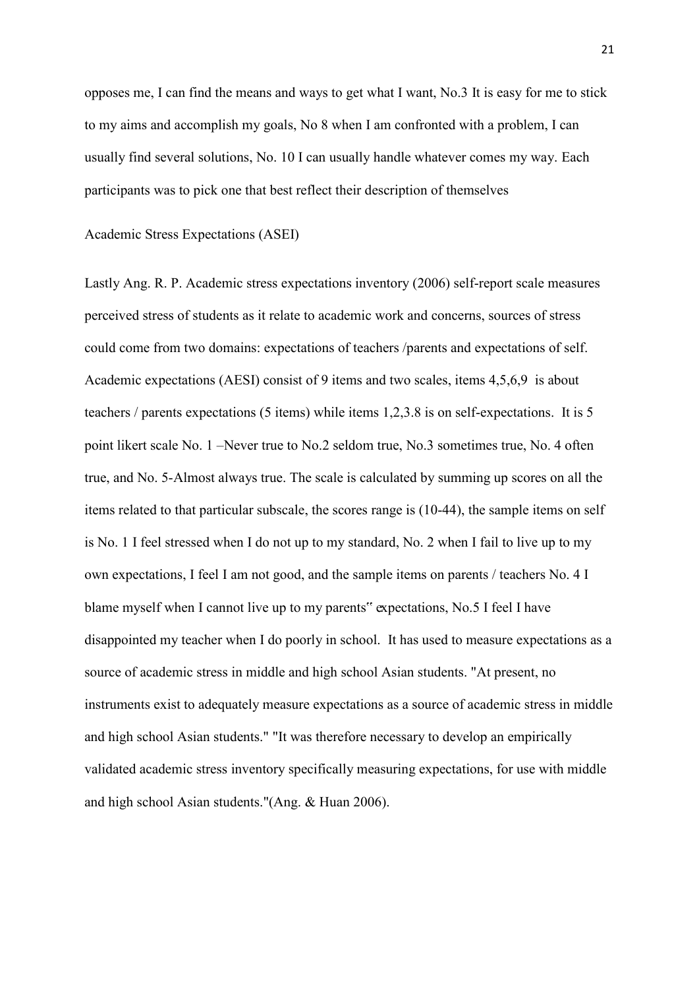opposes me, I can find the means and ways to get what I want, No.3 It is easy for me to stick to my aims and accomplish my goals, No 8 when I am confronted with a problem, I can usually find several solutions, No. 10 I can usually handle whatever comes my way. Each participants was to pick one that best reflect their description of themselves

Academic Stress Expectations (ASEI)

Lastly Ang. R. P. Academic stress expectations inventory (2006) self-report scale measures perceived stress of students as it relate to academic work and concerns, sources of stress could come from two domains: expectations of teachers /parents and expectations of self. Academic expectations (AESI) consist of 9 items and two scales, items 4,5,6,9 is about teachers / parents expectations (5 items) while items 1,2,3.8 is on self-expectations. It is 5 point likert scale No. 1 –Never true to No.2 seldom true, No.3 sometimes true, No. 4 often true, and No. 5-Almost always true. The scale is calculated by summing up scores on all the items related to that particular subscale, the scores range is (10-44), the sample items on self is No. 1 I feel stressed when I do not up to my standard, No. 2 when I fail to live up to my own expectations, I feel I am not good, and the sample items on parents / teachers No. 4 I blame myself when I cannot live up to my parents" expectations, No.5 I feel I have disappointed my teacher when I do poorly in school. It has used to measure expectations as a source of academic stress in middle and high school Asian students. "At present, no instruments exist to adequately measure expectations as a source of academic stress in middle and high school Asian students." "It was therefore necessary to develop an empirically validated academic stress inventory specifically measuring expectations, for use with middle and high school Asian students."(Ang. & Huan 2006).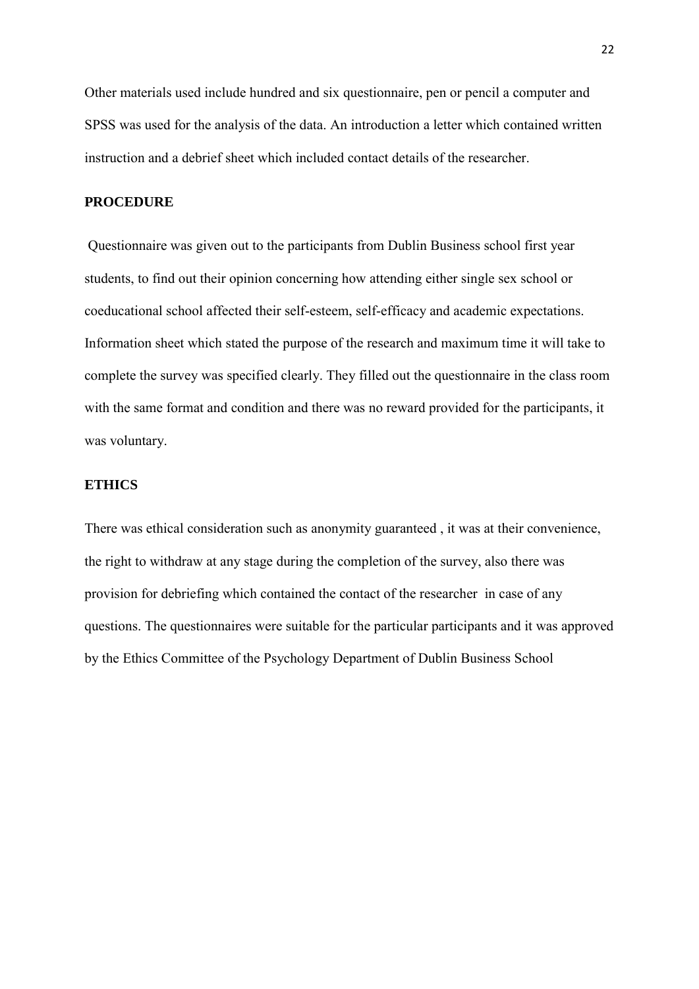Other materials used include hundred and six questionnaire, pen or pencil a computer and SPSS was used for the analysis of the data. An introduction a letter which contained written instruction and a debrief sheet which included contact details of the researcher.

## **PROCEDURE**

Questionnaire was given out to the participants from Dublin Business school first year students, to find out their opinion concerning how attending either single sex school or coeducational school affected their self-esteem, self-efficacy and academic expectations. Information sheet which stated the purpose of the research and maximum time it will take to complete the survey was specified clearly. They filled out the questionnaire in the class room with the same format and condition and there was no reward provided for the participants, it was voluntary.

## **ETHICS**

There was ethical consideration such as anonymity guaranteed , it was at their convenience, the right to withdraw at any stage during the completion of the survey, also there was provision for debriefing which contained the contact of the researcher in case of any questions. The questionnaires were suitable for the particular participants and it was approved by the Ethics Committee of the Psychology Department of Dublin Business School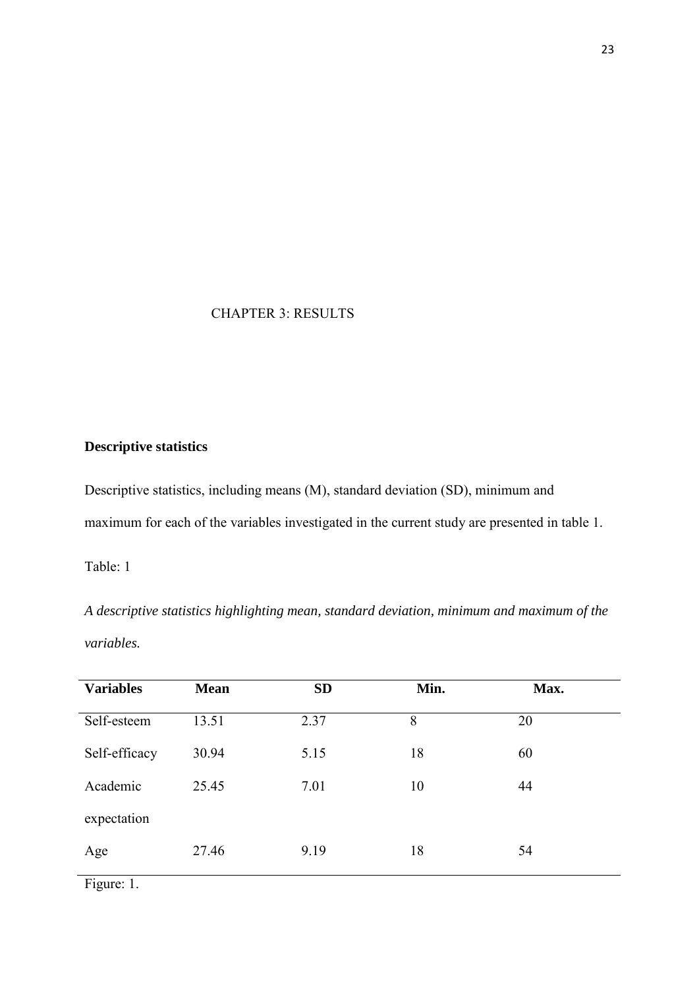## CHAPTER 3: RESULTS

# **Descriptive statistics**

Descriptive statistics, including means (M), standard deviation (SD), minimum and maximum for each of the variables investigated in the current study are presented in table 1.

Table: 1

*A descriptive statistics highlighting mean, standard deviation, minimum and maximum of the variables.* 

| <b>Variables</b> | <b>Mean</b> | <b>SD</b> | Min. | Max. |
|------------------|-------------|-----------|------|------|
| Self-esteem      | 13.51       | 2.37      | 8    | 20   |
| Self-efficacy    | 30.94       | 5.15      | 18   | 60   |
| Academic         | 25.45       | 7.01      | 10   | 44   |
| expectation      |             |           |      |      |
| Age              | 27.46       | 9.19      | 18   | 54   |

Figure: 1.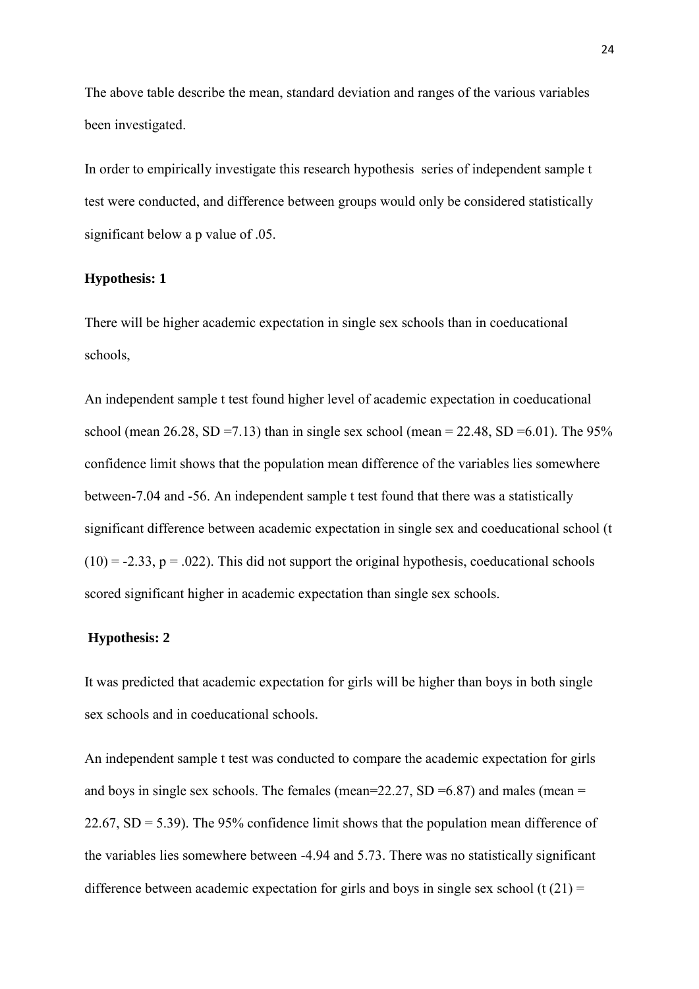The above table describe the mean, standard deviation and ranges of the various variables been investigated.

In order to empirically investigate this research hypothesis series of independent sample t test were conducted, and difference between groups would only be considered statistically significant below a p value of .05.

#### **Hypothesis: 1**

There will be higher academic expectation in single sex schools than in coeducational schools,

An independent sample t test found higher level of academic expectation in coeducational school (mean  $26.28$ , SD =7.13) than in single sex school (mean = 22.48, SD =6.01). The 95% confidence limit shows that the population mean difference of the variables lies somewhere between-7.04 and -56. An independent sample t test found that there was a statistically significant difference between academic expectation in single sex and coeducational school (t  $(10) = -2.33$ ,  $p = .022$ ). This did not support the original hypothesis, coeducational schools scored significant higher in academic expectation than single sex schools.

### **Hypothesis: 2**

It was predicted that academic expectation for girls will be higher than boys in both single sex schools and in coeducational schools.

An independent sample t test was conducted to compare the academic expectation for girls and boys in single sex schools. The females (mean=22.27,  $SD = 6.87$ ) and males (mean = 22.67,  $SD = 5.39$ ). The 95% confidence limit shows that the population mean difference of the variables lies somewhere between -4.94 and 5.73. There was no statistically significant difference between academic expectation for girls and boys in single sex school (t  $(21)$  =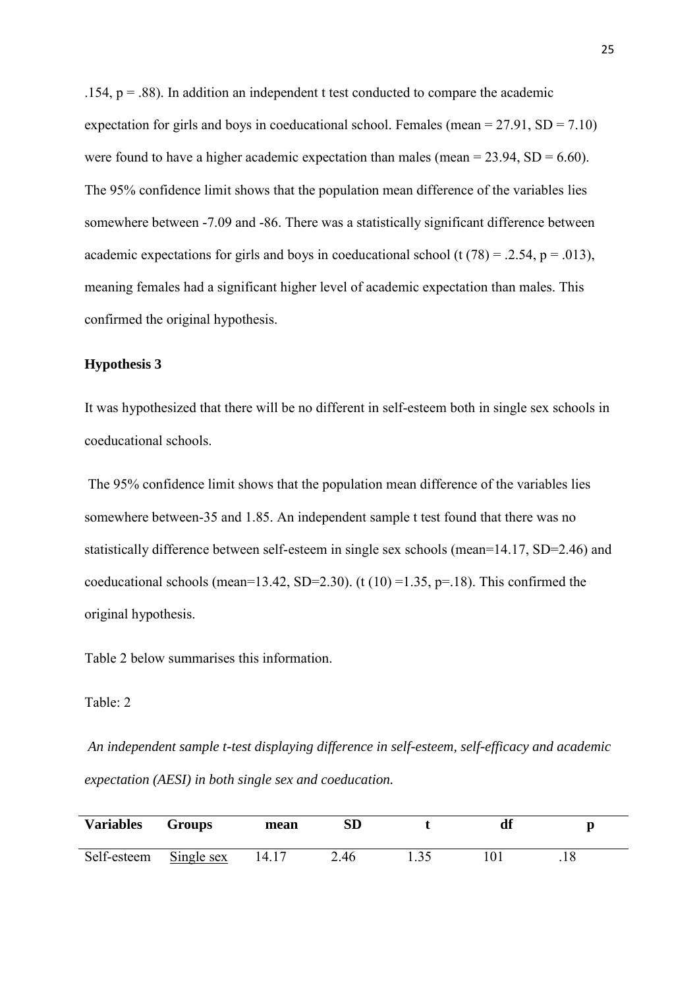.154,  $p = .88$ ). In addition an independent t test conducted to compare the academic expectation for girls and boys in coeducational school. Females (mean  $= 27.91$ , SD  $= 7.10$ ) were found to have a higher academic expectation than males (mean  $= 23.94$ , SD  $= 6.60$ ). The 95% confidence limit shows that the population mean difference of the variables lies somewhere between -7.09 and -86. There was a statistically significant difference between academic expectations for girls and boys in coeducational school (t  $(78) = .2.54$ ,  $p = .013$ ), meaning females had a significant higher level of academic expectation than males. This confirmed the original hypothesis.

#### **Hypothesis 3**

It was hypothesized that there will be no different in self-esteem both in single sex schools in coeducational schools.

The 95% confidence limit shows that the population mean difference of the variables lies somewhere between-35 and 1.85. An independent sample t test found that there was no statistically difference between self-esteem in single sex schools (mean=14.17, SD=2.46) and coeducational schools (mean=13.42, SD=2.30). (t  $(10)$  =1.35, p=.18). This confirmed the original hypothesis.

Table 2 below summarises this information.

#### Table: 2

*An independent sample t-test displaying difference in self-esteem, self-efficacy and academic expectation (AESI) in both single sex and coeducation.* 

| <b>Variables</b> | Groups     | mean   | ${\bf SD}$  | df |  |
|------------------|------------|--------|-------------|----|--|
| Self-esteem      | Single sex | 14. LZ | $\angle 46$ |    |  |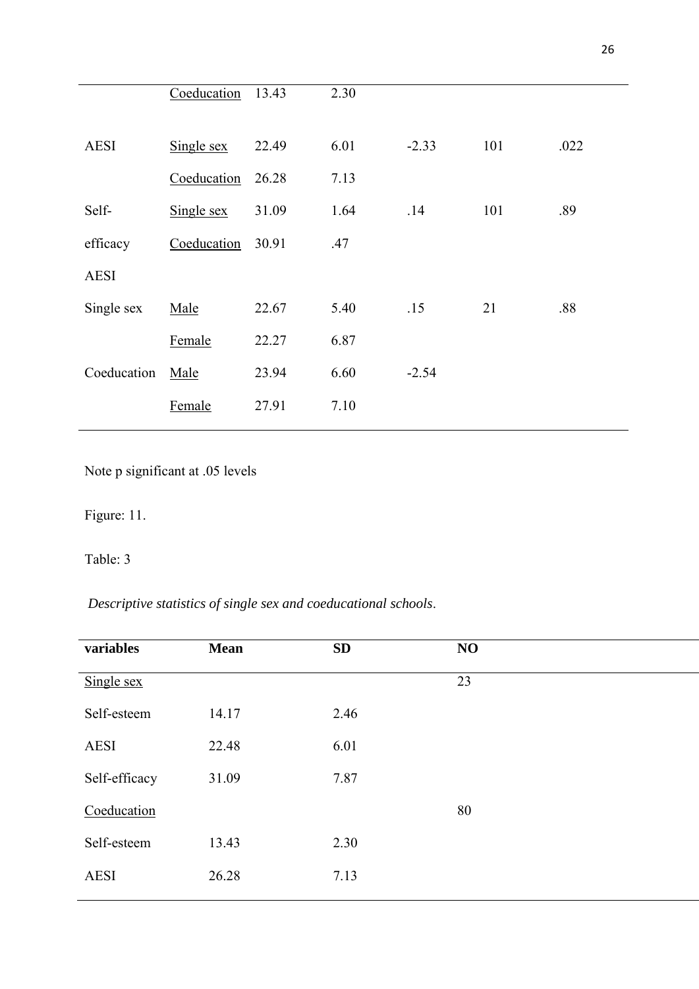|             | Coeducation | 13.43 | 2.30 |         |     |      |
|-------------|-------------|-------|------|---------|-----|------|
| <b>AESI</b> | Single sex  | 22.49 | 6.01 | $-2.33$ | 101 | .022 |
|             | Coeducation | 26.28 | 7.13 |         |     |      |
| Self-       | Single sex  | 31.09 | 1.64 | .14     | 101 | .89  |
| efficacy    | Coeducation | 30.91 | .47  |         |     |      |
| <b>AESI</b> |             |       |      |         |     |      |
| Single sex  | Male        | 22.67 | 5.40 | .15     | 21  | .88  |
|             | Female      | 22.27 | 6.87 |         |     |      |
| Coeducation | Male        | 23.94 | 6.60 | $-2.54$ |     |      |
|             | Female      | 27.91 | 7.10 |         |     |      |
|             |             |       |      |         |     |      |

Note p significant at .05 levels

Figure: 11.

# Table: 3

*Descriptive statistics of single sex and coeducational schools*.

| variables     | <b>Mean</b> | SD   | NO |
|---------------|-------------|------|----|
| Single sex    |             |      | 23 |
| Self-esteem   | 14.17       | 2.46 |    |
| <b>AESI</b>   | 22.48       | 6.01 |    |
| Self-efficacy | 31.09       | 7.87 |    |
| Coeducation   |             |      | 80 |
| Self-esteem   | 13.43       | 2.30 |    |
| <b>AESI</b>   | 26.28       | 7.13 |    |
|               |             |      |    |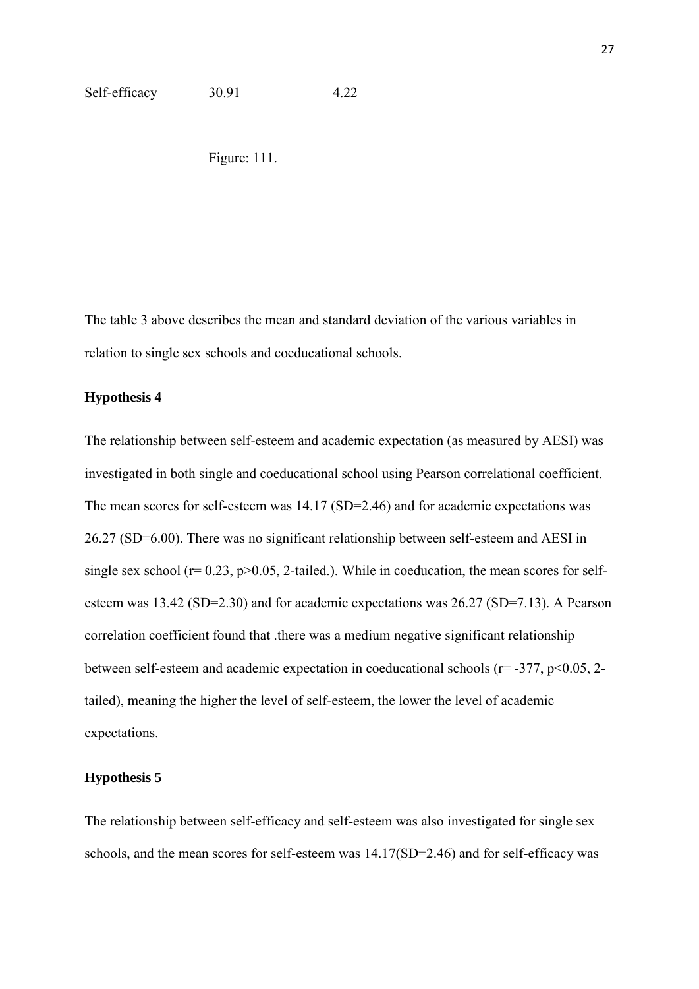Figure: 111.

The table 3 above describes the mean and standard deviation of the various variables in relation to single sex schools and coeducational schools.

## **Hypothesis 4**

The relationship between self-esteem and academic expectation (as measured by AESI) was investigated in both single and coeducational school using Pearson correlational coefficient. The mean scores for self-esteem was 14.17 (SD=2.46) and for academic expectations was 26.27 (SD=6.00). There was no significant relationship between self-esteem and AESI in single sex school ( $r= 0.23$ ,  $p>0.05$ , 2-tailed.). While in coeducation, the mean scores for selfesteem was 13.42 (SD=2.30) and for academic expectations was 26.27 (SD=7.13). A Pearson correlation coefficient found that .there was a medium negative significant relationship between self-esteem and academic expectation in coeducational schools ( $r = -377$ ,  $p < 0.05$ , 2tailed), meaning the higher the level of self-esteem, the lower the level of academic expectations.

#### **Hypothesis 5**

The relationship between self-efficacy and self-esteem was also investigated for single sex schools, and the mean scores for self-esteem was 14.17(SD=2.46) and for self-efficacy was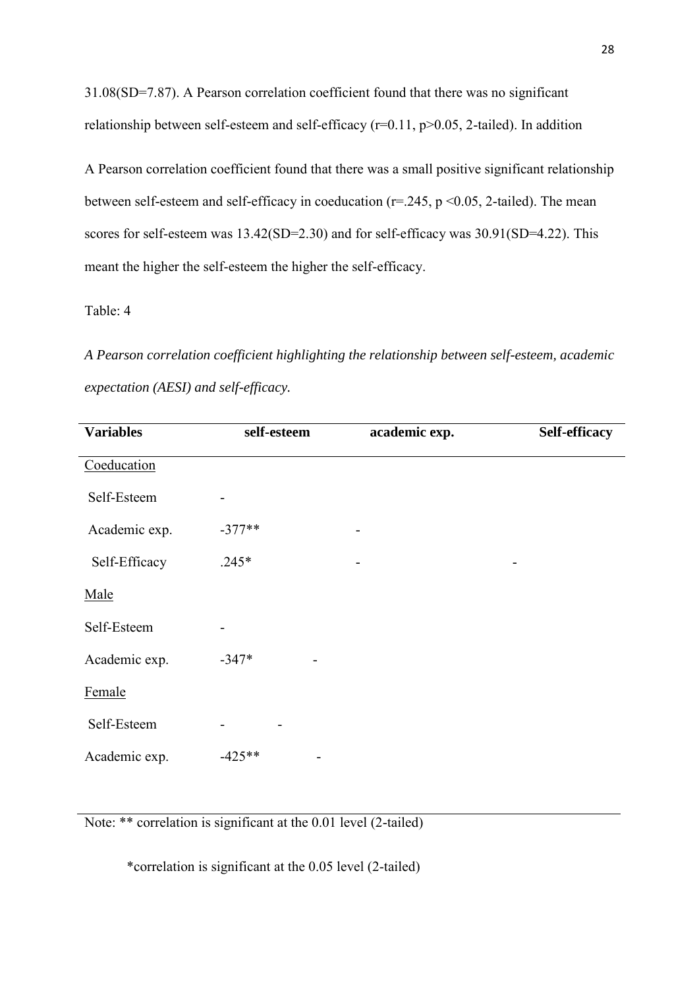31.08(SD=7.87). A Pearson correlation coefficient found that there was no significant relationship between self-esteem and self-efficacy ( $r=0.11$ ,  $p>0.05$ , 2-tailed). In addition

A Pearson correlation coefficient found that there was a small positive significant relationship between self-esteem and self-efficacy in coeducation ( $r=245$ ,  $p < 0.05$ , 2-tailed). The mean scores for self-esteem was 13.42(SD=2.30) and for self-efficacy was 30.91(SD=4.22). This meant the higher the self-esteem the higher the self-efficacy.

Table: 4

*A Pearson correlation coefficient highlighting the relationship between self-esteem, academic expectation (AESI) and self-efficacy.* 

| <b>Variables</b> | self-esteem | academic exp. | Self-efficacy |
|------------------|-------------|---------------|---------------|
| Coeducation      |             |               |               |
| Self-Esteem      |             |               |               |
| Academic exp.    | $-377**$    |               |               |
| Self-Efficacy    | $.245*$     |               |               |
| Male             |             |               |               |
| Self-Esteem      |             |               |               |
| Academic exp.    | $-347*$     |               |               |
| Female           |             |               |               |
| Self-Esteem      |             |               |               |
| Academic exp.    | $-425**$    |               |               |

Note: \*\* correlation is significant at the 0.01 level (2-tailed)

\*correlation is significant at the 0.05 level (2-tailed)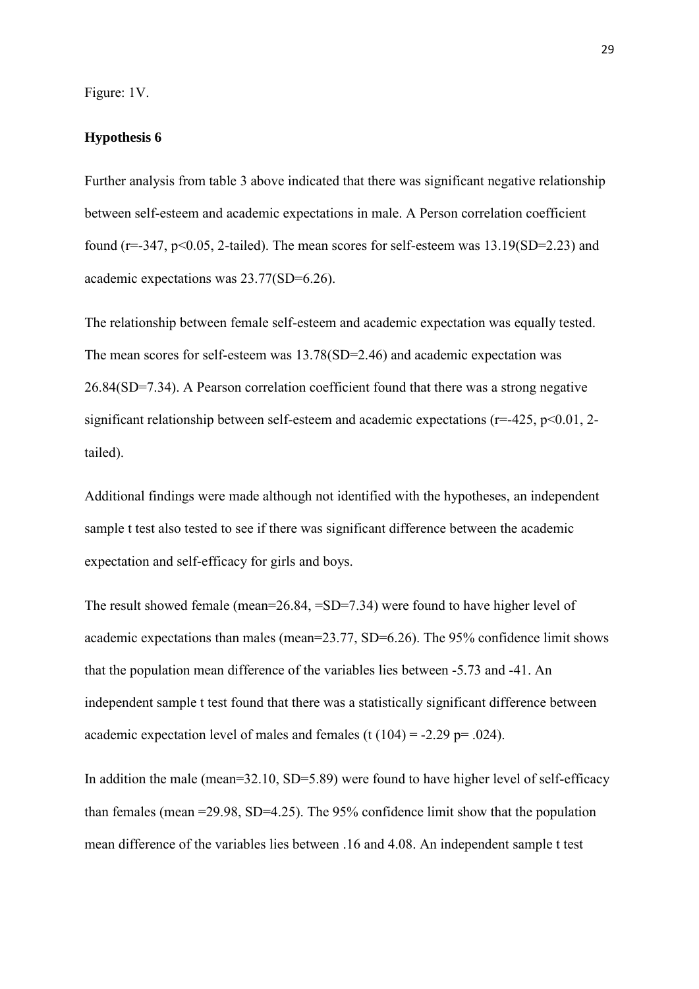Figure: 1V.

#### **Hypothesis 6**

Further analysis from table 3 above indicated that there was significant negative relationship between self-esteem and academic expectations in male. A Person correlation coefficient found ( $r=347$ ,  $p<0.05$ , 2-tailed). The mean scores for self-esteem was  $13.19(SD=2.23)$  and academic expectations was 23.77(SD=6.26).

The relationship between female self-esteem and academic expectation was equally tested. The mean scores for self-esteem was 13.78(SD=2.46) and academic expectation was 26.84(SD=7.34). A Pearson correlation coefficient found that there was a strong negative significant relationship between self-esteem and academic expectations ( $r=425$ ,  $p<0.01$ , 2tailed).

Additional findings were made although not identified with the hypotheses, an independent sample t test also tested to see if there was significant difference between the academic expectation and self-efficacy for girls and boys.

The result showed female (mean=26.84, =SD=7.34) were found to have higher level of academic expectations than males (mean=23.77, SD=6.26). The 95% confidence limit shows that the population mean difference of the variables lies between -5.73 and -41. An independent sample t test found that there was a statistically significant difference between academic expectation level of males and females (t  $(104) = -2.29$  p= .024).

In addition the male (mean=32.10, SD=5.89) were found to have higher level of self-efficacy than females (mean =29.98, SD=4.25). The 95% confidence limit show that the population mean difference of the variables lies between .16 and 4.08. An independent sample t test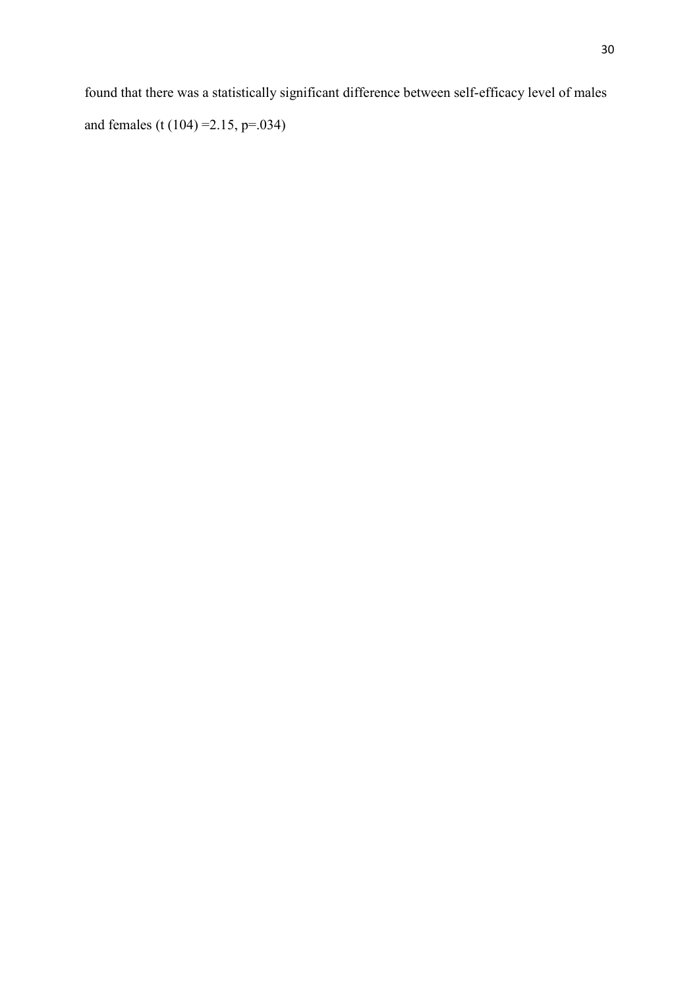found that there was a statistically significant difference between self-efficacy level of males and females (t (104) =2.15, p=.034)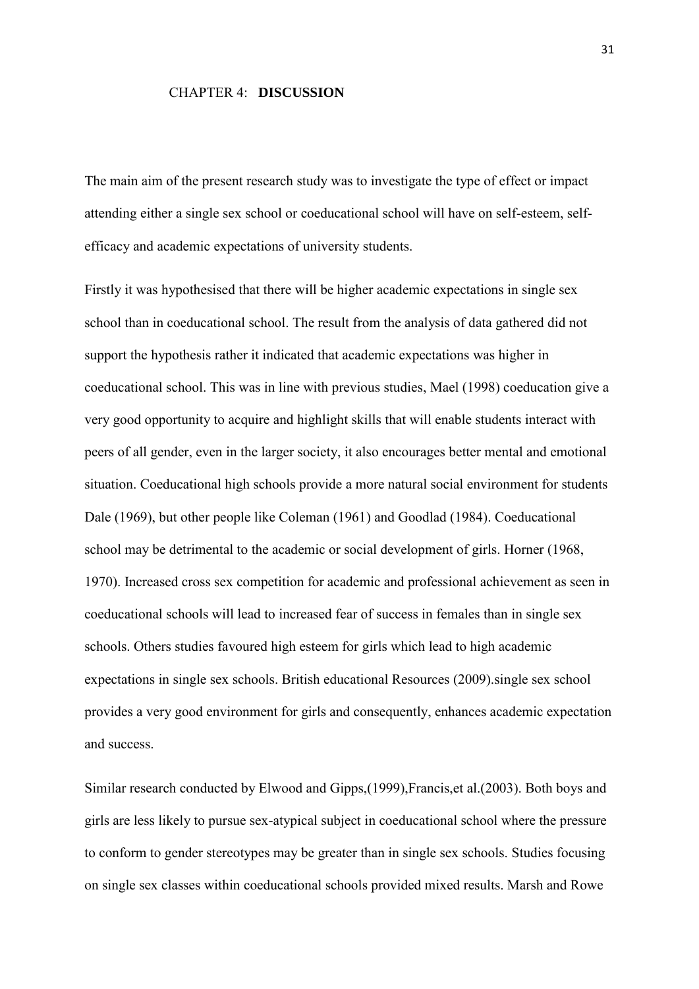#### CHAPTER 4: **DISCUSSION**

The main aim of the present research study was to investigate the type of effect or impact attending either a single sex school or coeducational school will have on self-esteem, selfefficacy and academic expectations of university students.

Firstly it was hypothesised that there will be higher academic expectations in single sex school than in coeducational school. The result from the analysis of data gathered did not support the hypothesis rather it indicated that academic expectations was higher in coeducational school. This was in line with previous studies, Mael (1998) coeducation give a very good opportunity to acquire and highlight skills that will enable students interact with peers of all gender, even in the larger society, it also encourages better mental and emotional situation. Coeducational high schools provide a more natural social environment for students Dale (1969), but other people like Coleman (1961) and Goodlad (1984). Coeducational school may be detrimental to the academic or social development of girls. Horner (1968, 1970). Increased cross sex competition for academic and professional achievement as seen in coeducational schools will lead to increased fear of success in females than in single sex schools. Others studies favoured high esteem for girls which lead to high academic expectations in single sex schools. British educational Resources (2009).single sex school provides a very good environment for girls and consequently, enhances academic expectation and success.

Similar research conducted by Elwood and Gipps,(1999),Francis,et al.(2003). Both boys and girls are less likely to pursue sex-atypical subject in coeducational school where the pressure to conform to gender stereotypes may be greater than in single sex schools. Studies focusing on single sex classes within coeducational schools provided mixed results. Marsh and Rowe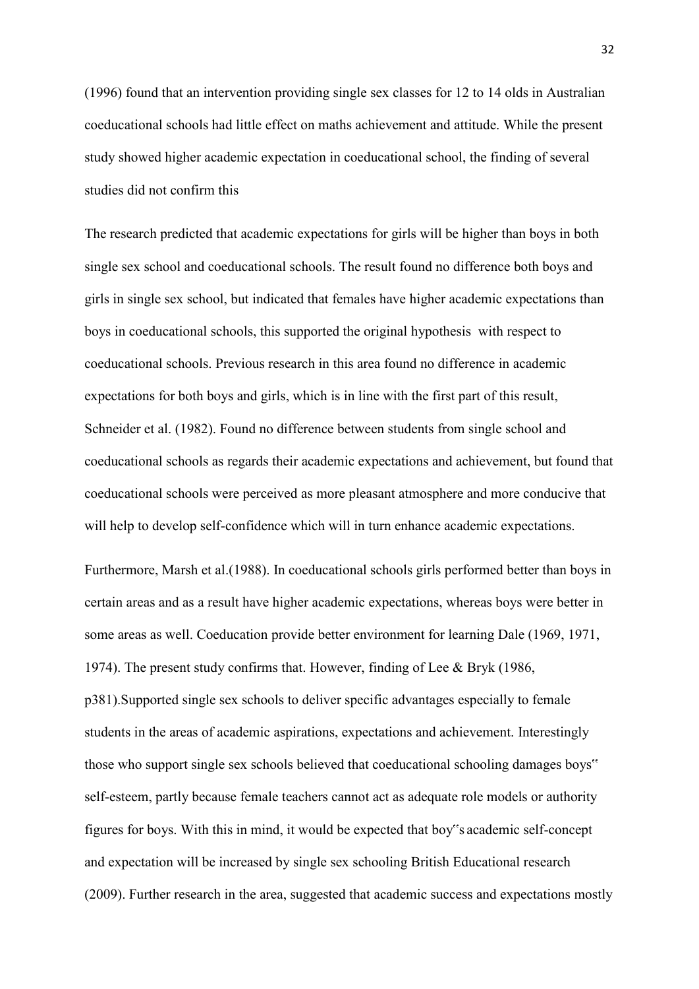(1996) found that an intervention providing single sex classes for 12 to 14 olds in Australian coeducational schools had little effect on maths achievement and attitude. While the present study showed higher academic expectation in coeducational school, the finding of several studies did not confirm this

The research predicted that academic expectations for girls will be higher than boys in both single sex school and coeducational schools. The result found no difference both boys and girls in single sex school, but indicated that females have higher academic expectations than boys in coeducational schools, this supported the original hypothesis with respect to coeducational schools. Previous research in this area found no difference in academic expectations for both boys and girls, which is in line with the first part of this result, Schneider et al. (1982). Found no difference between students from single school and coeducational schools as regards their academic expectations and achievement, but found that coeducational schools were perceived as more pleasant atmosphere and more conducive that will help to develop self-confidence which will in turn enhance academic expectations.

Furthermore, Marsh et al.(1988). In coeducational schools girls performed better than boys in certain areas and as a result have higher academic expectations, whereas boys were better in some areas as well. Coeducation provide better environment for learning Dale (1969, 1971, 1974). The present study confirms that. However, finding of Lee & Bryk (1986, p381).Supported single sex schools to deliver specific advantages especially to female students in the areas of academic aspirations, expectations and achievement. Interestingly those who support single sex schools believed that coeducational schooling damages boys" self-esteem, partly because female teachers cannot act as adequate role models or authority figures for boys. With this in mind, it would be expected that boy"s academic self-concept and expectation will be increased by single sex schooling British Educational research (2009). Further research in the area, suggested that academic success and expectations mostly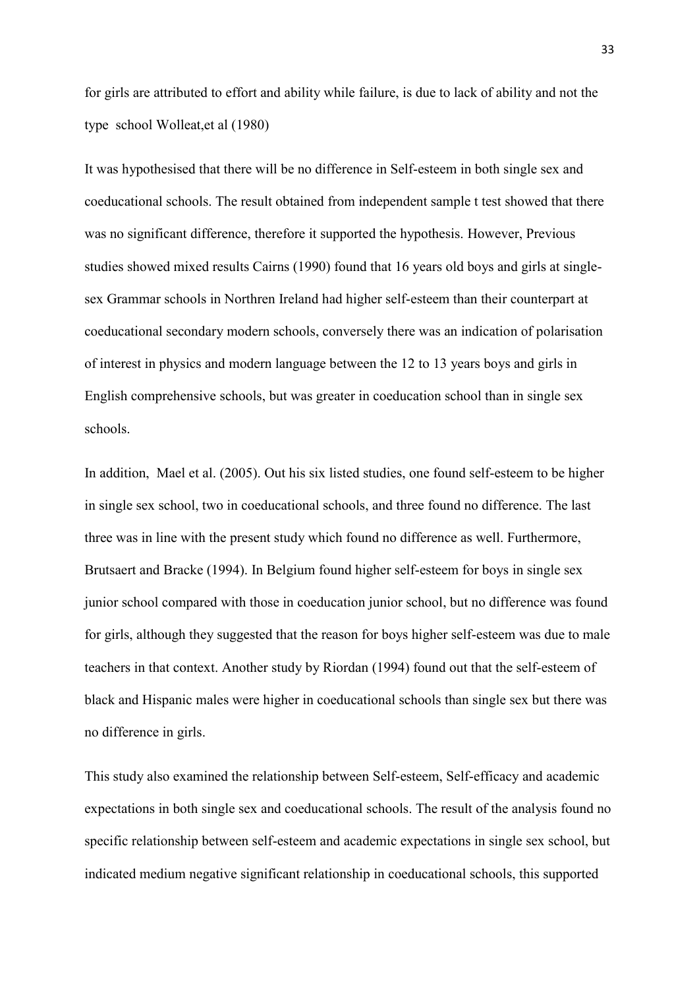for girls are attributed to effort and ability while failure, is due to lack of ability and not the type school Wolleat,et al (1980)

It was hypothesised that there will be no difference in Self-esteem in both single sex and coeducational schools. The result obtained from independent sample t test showed that there was no significant difference, therefore it supported the hypothesis. However, Previous studies showed mixed results Cairns (1990) found that 16 years old boys and girls at singlesex Grammar schools in Northren Ireland had higher self-esteem than their counterpart at coeducational secondary modern schools, conversely there was an indication of polarisation of interest in physics and modern language between the 12 to 13 years boys and girls in English comprehensive schools, but was greater in coeducation school than in single sex schools.

In addition, Mael et al. (2005). Out his six listed studies, one found self-esteem to be higher in single sex school, two in coeducational schools, and three found no difference. The last three was in line with the present study which found no difference as well. Furthermore, Brutsaert and Bracke (1994). In Belgium found higher self-esteem for boys in single sex junior school compared with those in coeducation junior school, but no difference was found for girls, although they suggested that the reason for boys higher self-esteem was due to male teachers in that context. Another study by Riordan (1994) found out that the self-esteem of black and Hispanic males were higher in coeducational schools than single sex but there was no difference in girls.

This study also examined the relationship between Self-esteem, Self-efficacy and academic expectations in both single sex and coeducational schools. The result of the analysis found no specific relationship between self-esteem and academic expectations in single sex school, but indicated medium negative significant relationship in coeducational schools, this supported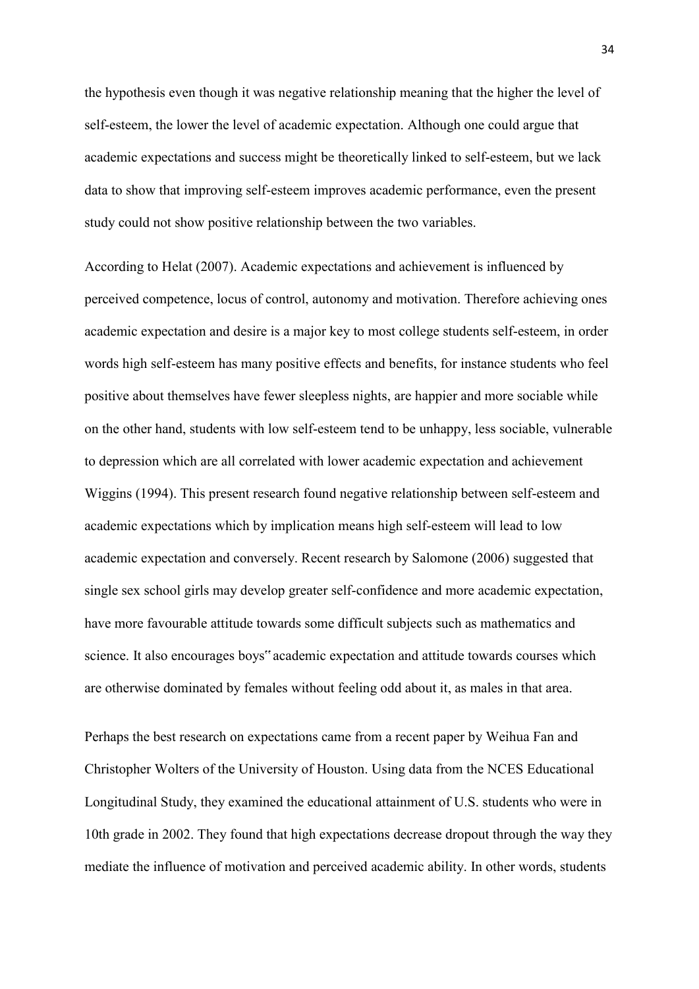the hypothesis even though it was negative relationship meaning that the higher the level of self-esteem, the lower the level of academic expectation. Although one could argue that academic expectations and success might be theoretically linked to self-esteem, but we lack data to show that improving self-esteem improves academic performance, even the present study could not show positive relationship between the two variables.

According to Helat (2007). Academic expectations and achievement is influenced by perceived competence, locus of control, autonomy and motivation. Therefore achieving ones academic expectation and desire is a major key to most college students self-esteem, in order words high self-esteem has many positive effects and benefits, for instance students who feel positive about themselves have fewer sleepless nights, are happier and more sociable while on the other hand, students with low self-esteem tend to be unhappy, less sociable, vulnerable to depression which are all correlated with lower academic expectation and achievement Wiggins (1994). This present research found negative relationship between self-esteem and academic expectations which by implication means high self-esteem will lead to low academic expectation and conversely. Recent research by Salomone (2006) suggested that single sex school girls may develop greater self-confidence and more academic expectation, have more favourable attitude towards some difficult subjects such as mathematics and science. It also encourages boys" academic expectation and attitude towards courses which are otherwise dominated by females without feeling odd about it, as males in that area.

Perhaps the best research on expectations came from a recent paper by Weihua Fan and Christopher Wolters of the University of Houston. Using data from the NCES Educational Longitudinal Study, they examined the educational attainment of U.S. students who were in 10th grade in 2002. They found that high expectations decrease dropout through the way they mediate the influence of motivation and perceived academic ability. In other words, students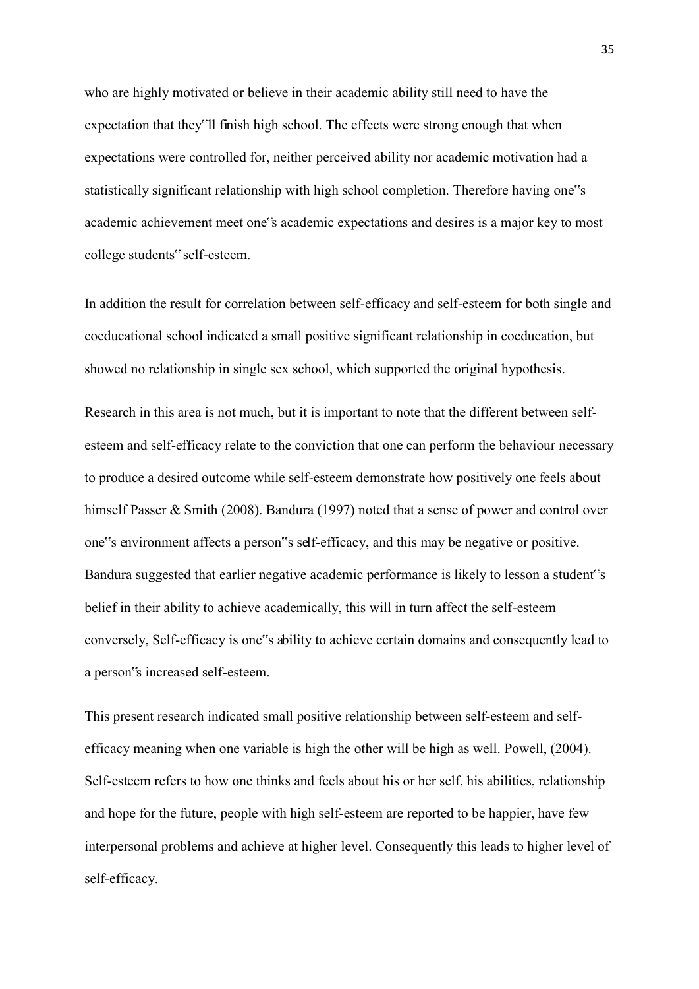who are highly motivated or believe in their academic ability still need to have the expectation that they"ll finish high school. The effects were strong enough that when expectations were controlled for, neither perceived ability nor academic motivation had a statistically significant relationship with high school completion. Therefore having one"s academic achievement meet one"s academic expectations and desires is a major key to most college students" self-esteem.

In addition the result for correlation between self-efficacy and self-esteem for both single and coeducational school indicated a small positive significant relationship in coeducation, but showed no relationship in single sex school, which supported the original hypothesis.

Research in this area is not much, but it is important to note that the different between selfesteem and self-efficacy relate to the conviction that one can perform the behaviour necessary to produce a desired outcome while self-esteem demonstrate how positively one feels about himself Passer & Smith (2008). Bandura (1997) noted that a sense of power and control over one"s environment affects a person"s self-efficacy, and this may be negative or positive. Bandura suggested that earlier negative academic performance is likely to lesson a student"s belief in their ability to achieve academically, this will in turn affect the self-esteem conversely, Self-efficacy is one"s ability to achieve certain domains and consequently lead to a person"s increased self-esteem.

This present research indicated small positive relationship between self-esteem and selfefficacy meaning when one variable is high the other will be high as well. Powell, (2004). Self-esteem refers to how one thinks and feels about his or her self, his abilities, relationship and hope for the future, people with high self-esteem are reported to be happier, have few interpersonal problems and achieve at higher level. Consequently this leads to higher level of self-efficacy.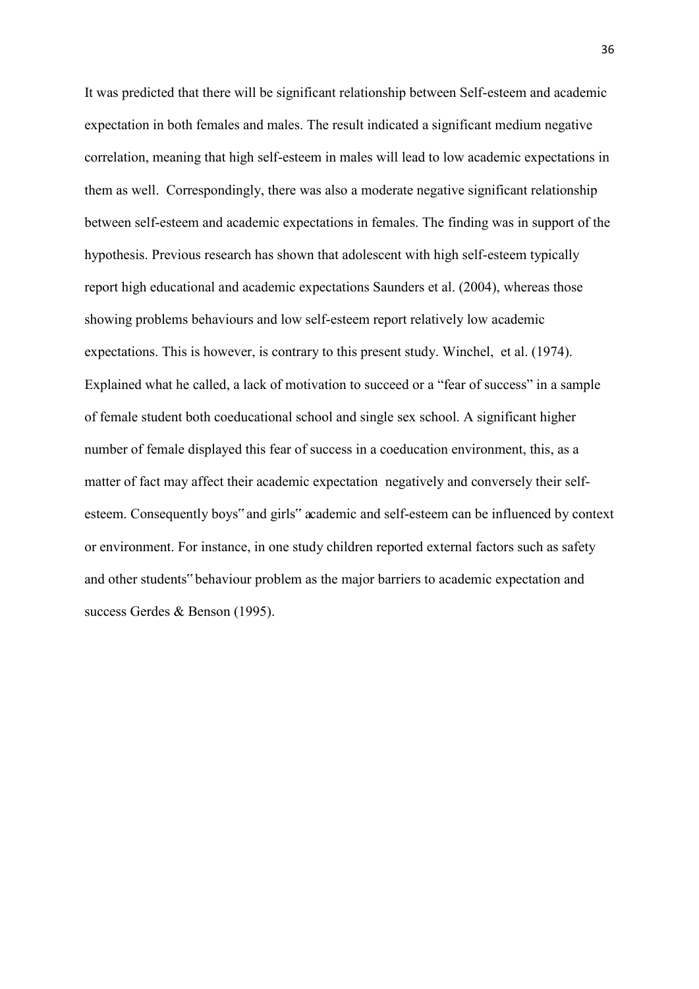It was predicted that there will be significant relationship between Self-esteem and academic expectation in both females and males. The result indicated a significant medium negative correlation, meaning that high self-esteem in males will lead to low academic expectations in them as well. Correspondingly, there was also a moderate negative significant relationship between self-esteem and academic expectations in females. The finding was in support of the hypothesis. Previous research has shown that adolescent with high self-esteem typically report high educational and academic expectations Saunders et al. (2004), whereas those showing problems behaviours and low self-esteem report relatively low academic expectations. This is however, is contrary to this present study. Winchel, et al. (1974). Explained what he called, a lack of motivation to succeed or a "fear of success" in a sample of female student both coeducational school and single sex school. A significant higher number of female displayed this fear of success in a coeducation environment, this, as a matter of fact may affect their academic expectation negatively and conversely their selfesteem. Consequently boys" and girls" academic and self-esteem can be influenced by context or environment. For instance, in one study children reported external factors such as safety and other students" behaviour problem as the major barriers to academic expectation and success Gerdes & Benson (1995).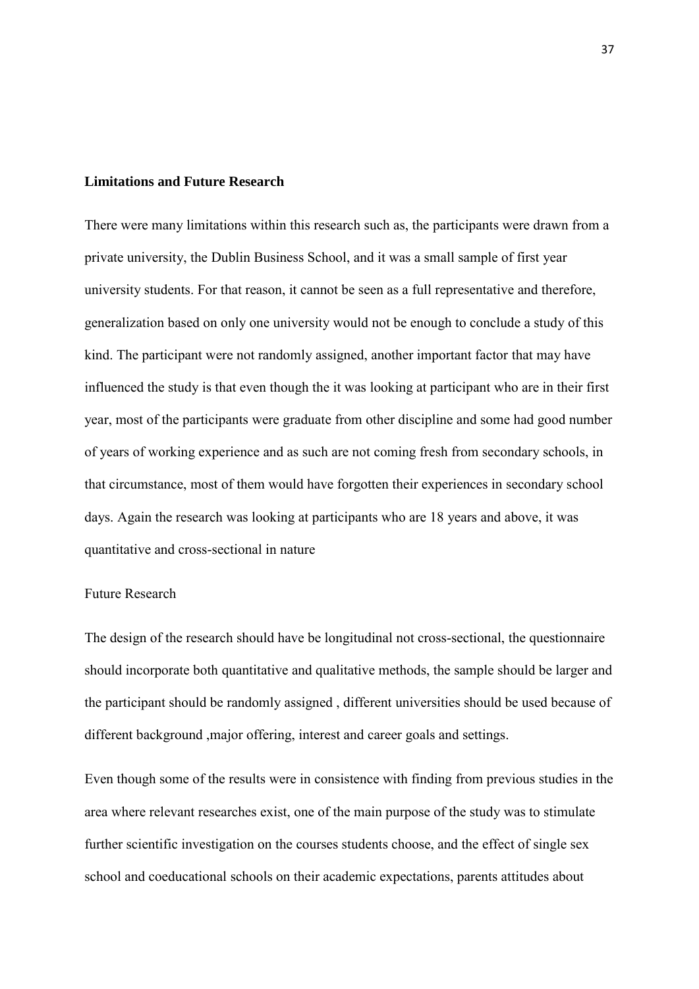#### **Limitations and Future Research**

There were many limitations within this research such as, the participants were drawn from a private university, the Dublin Business School, and it was a small sample of first year university students. For that reason, it cannot be seen as a full representative and therefore, generalization based on only one university would not be enough to conclude a study of this kind. The participant were not randomly assigned, another important factor that may have influenced the study is that even though the it was looking at participant who are in their first year, most of the participants were graduate from other discipline and some had good number of years of working experience and as such are not coming fresh from secondary schools, in that circumstance, most of them would have forgotten their experiences in secondary school days. Again the research was looking at participants who are 18 years and above, it was quantitative and cross-sectional in nature

#### Future Research

The design of the research should have be longitudinal not cross-sectional, the questionnaire should incorporate both quantitative and qualitative methods, the sample should be larger and the participant should be randomly assigned , different universities should be used because of different background ,major offering, interest and career goals and settings.

Even though some of the results were in consistence with finding from previous studies in the area where relevant researches exist, one of the main purpose of the study was to stimulate further scientific investigation on the courses students choose, and the effect of single sex school and coeducational schools on their academic expectations, parents attitudes about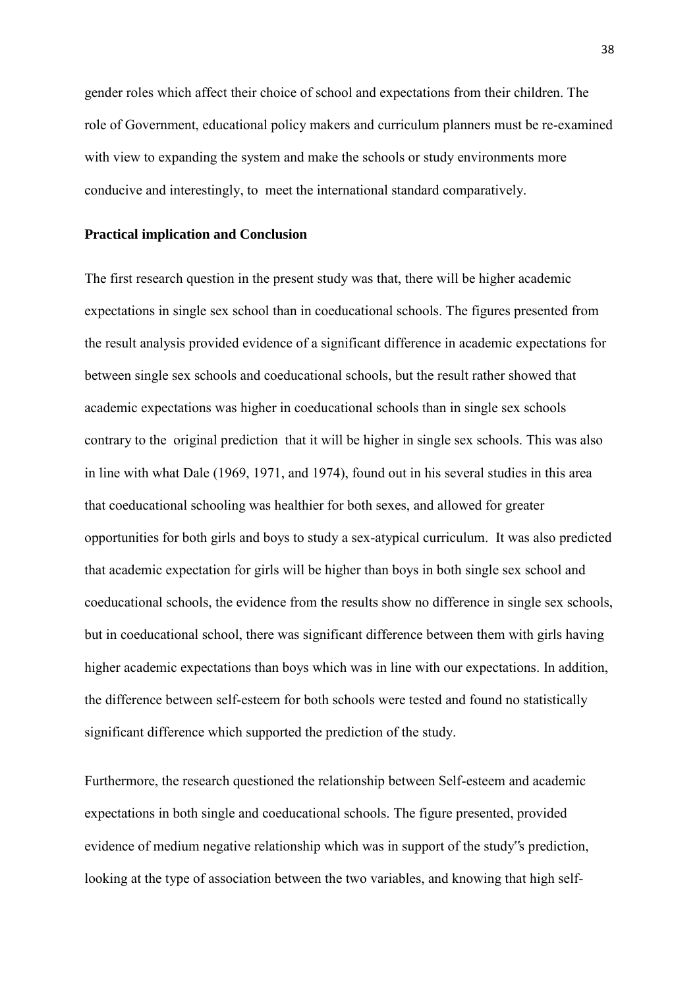gender roles which affect their choice of school and expectations from their children. The role of Government, educational policy makers and curriculum planners must be re-examined with view to expanding the system and make the schools or study environments more conducive and interestingly, to meet the international standard comparatively.

#### **Practical implication and Conclusion**

The first research question in the present study was that, there will be higher academic expectations in single sex school than in coeducational schools. The figures presented from the result analysis provided evidence of a significant difference in academic expectations for between single sex schools and coeducational schools, but the result rather showed that academic expectations was higher in coeducational schools than in single sex schools contrary to the original prediction that it will be higher in single sex schools. This was also in line with what Dale (1969, 1971, and 1974), found out in his several studies in this area that coeducational schooling was healthier for both sexes, and allowed for greater opportunities for both girls and boys to study a sex-atypical curriculum. It was also predicted that academic expectation for girls will be higher than boys in both single sex school and coeducational schools, the evidence from the results show no difference in single sex schools, but in coeducational school, there was significant difference between them with girls having higher academic expectations than boys which was in line with our expectations. In addition, the difference between self-esteem for both schools were tested and found no statistically significant difference which supported the prediction of the study.

Furthermore, the research questioned the relationship between Self-esteem and academic expectations in both single and coeducational schools. The figure presented, provided evidence of medium negative relationship which was in support of the study"s prediction, looking at the type of association between the two variables, and knowing that high self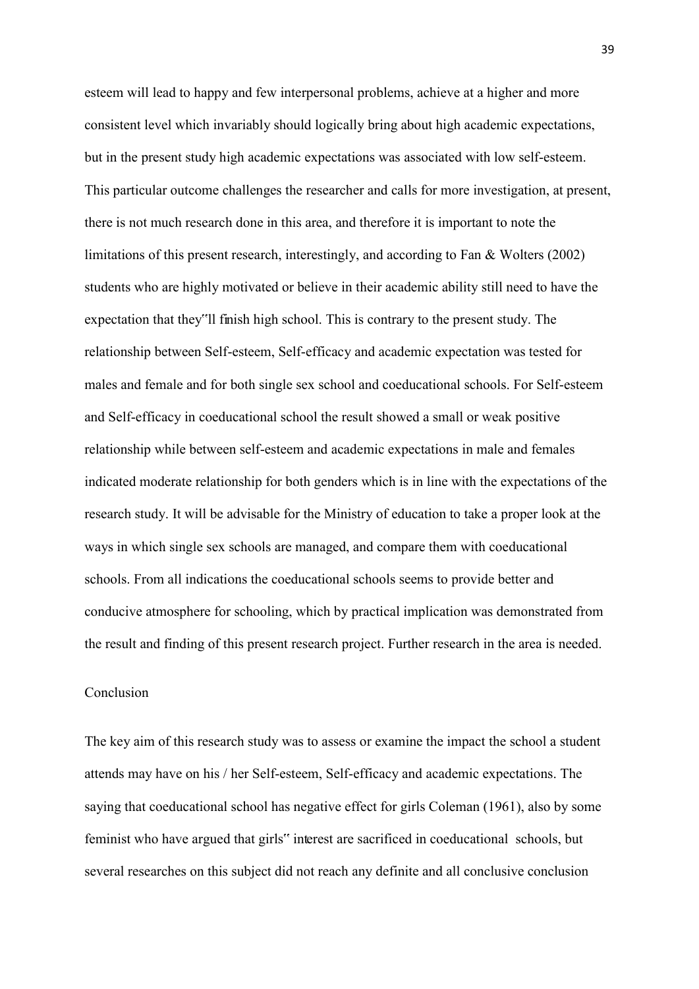esteem will lead to happy and few interpersonal problems, achieve at a higher and more consistent level which invariably should logically bring about high academic expectations, but in the present study high academic expectations was associated with low self-esteem. This particular outcome challenges the researcher and calls for more investigation, at present, there is not much research done in this area, and therefore it is important to note the limitations of this present research, interestingly, and according to Fan & Wolters (2002) students who are highly motivated or believe in their academic ability still need to have the expectation that they"ll finish high school. This is contrary to the present study. The relationship between Self-esteem, Self-efficacy and academic expectation was tested for males and female and for both single sex school and coeducational schools. For Self-esteem and Self-efficacy in coeducational school the result showed a small or weak positive relationship while between self-esteem and academic expectations in male and females indicated moderate relationship for both genders which is in line with the expectations of the research study. It will be advisable for the Ministry of education to take a proper look at the ways in which single sex schools are managed, and compare them with coeducational schools. From all indications the coeducational schools seems to provide better and conducive atmosphere for schooling, which by practical implication was demonstrated from the result and finding of this present research project. Further research in the area is needed.

### Conclusion

The key aim of this research study was to assess or examine the impact the school a student attends may have on his / her Self-esteem, Self-efficacy and academic expectations. The saying that coeducational school has negative effect for girls Coleman (1961), also by some feminist who have argued that girls" interest are sacrificed in coeducational schools, but several researches on this subject did not reach any definite and all conclusive conclusion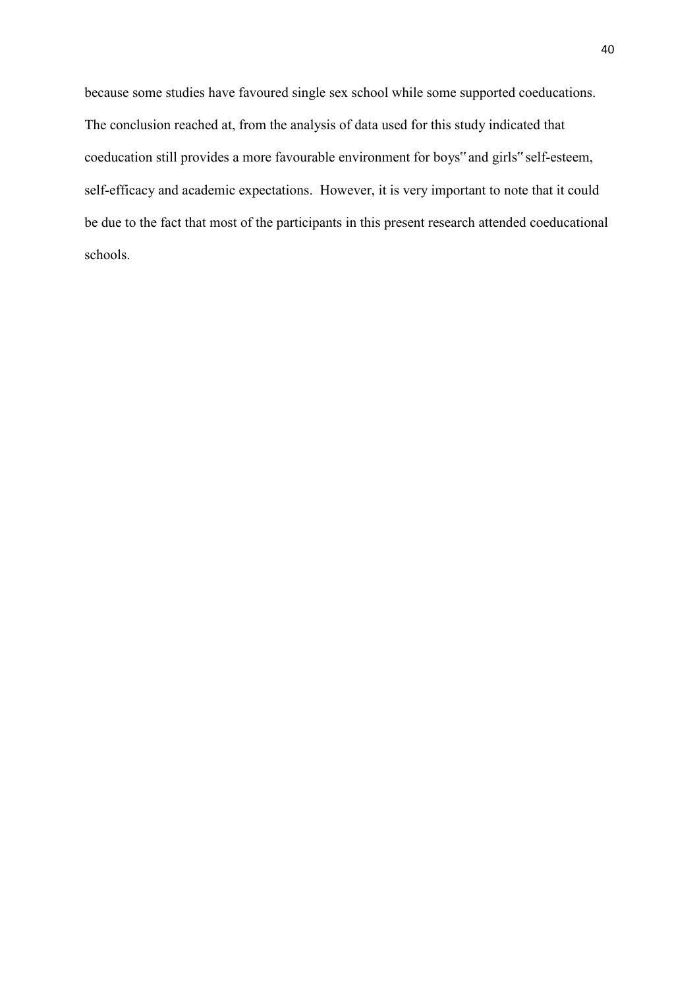because some studies have favoured single sex school while some supported coeducations. The conclusion reached at, from the analysis of data used for this study indicated that coeducation still provides a more favourable environment for boys" and girls" self-esteem, self-efficacy and academic expectations. However, it is very important to note that it could be due to the fact that most of the participants in this present research attended coeducational schools.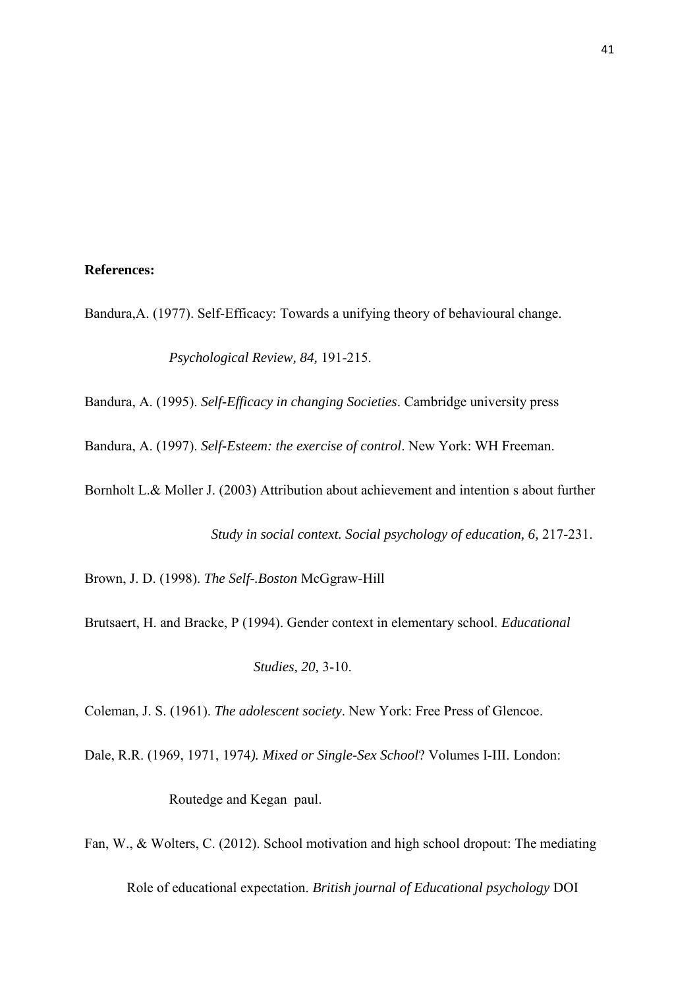### **References:**

Bandura,A. (1977). Self-Efficacy: Towards a unifying theory of behavioural change.

*Psychological Review, 84,* 191-215.

Bandura, A. (1995). *Self-Efficacy in changing Societies*. Cambridge university press

Bandura, A. (1997). *Self-Esteem: the exercise of control*. New York: WH Freeman.

Bornholt L.& Moller J. (2003) Attribution about achievement and intention s about further

*Study in social context. Social psychology of education, 6,* 217-231.

Brown, J. D. (1998). *The Self-.Boston* McGgraw-Hill

Brutsaert, H. and Bracke, P (1994). Gender context in elementary school. *Educational* 

 *Studies, 20,* 3-10.

Coleman, J. S. (1961). *The adolescent society*. New York: Free Press of Glencoe.

Dale, R.R. (1969, 1971, 1974*). Mixed or Single-Sex School*? Volumes I-III. London:

Routedge and Kegan paul.

Fan, W., & Wolters, C. (2012). School motivation and high school dropout: The mediating Role of educational expectation. *British journal of Educational psychology* DOI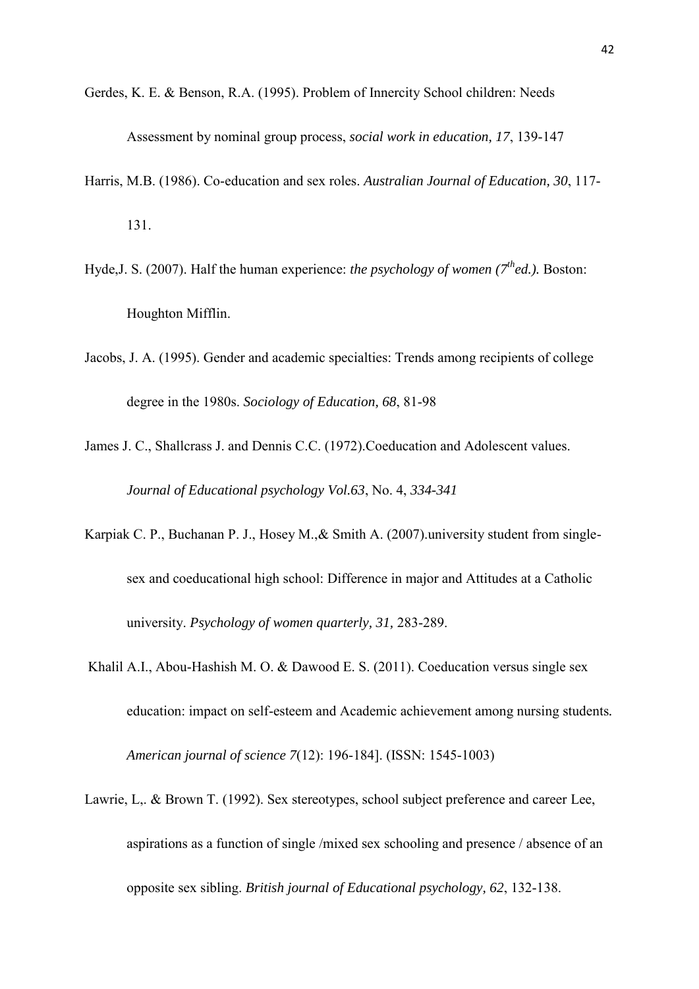- Gerdes, K. E. & Benson, R.A. (1995). Problem of Innercity School children: Needs Assessment by nominal group process, *social work in education, 17*, 139-147
- Harris, M.B. (1986). Co-education and sex roles. *Australian Journal of Education, 30*, 117- 131.
- Hyde,J. S. (2007). Half the human experience: *the psychology of women (7thed.).* Boston: Houghton Mifflin.
- Jacobs, J. A. (1995). Gender and academic specialties: Trends among recipients of college degree in the 1980s. *Sociology of Education, 68*, 81-98
- James J. C., Shallcrass J. and Dennis C.C. (1972).Coeducation and Adolescent values. *Journal of Educational psychology Vol.63*, No. 4, *334-341*
- Karpiak C. P., Buchanan P. J., Hosey M.,& Smith A. (2007).university student from singlesex and coeducational high school: Difference in major and Attitudes at a Catholic university. *Psychology of women quarterly, 31,* 283-289.
- Khalil A.I., Abou-Hashish M. O. & Dawood E. S. (2011). Coeducation versus single sex education: impact on self-esteem and Academic achievement among nursing students*. American journal of science 7*(12): 196-184]. (ISSN: 1545-1003)
- Lawrie, L,. & Brown T. (1992). Sex stereotypes, school subject preference and career Lee, aspirations as a function of single /mixed sex schooling and presence / absence of an opposite sex sibling. *British journal of Educational psychology, 62*, 132-138.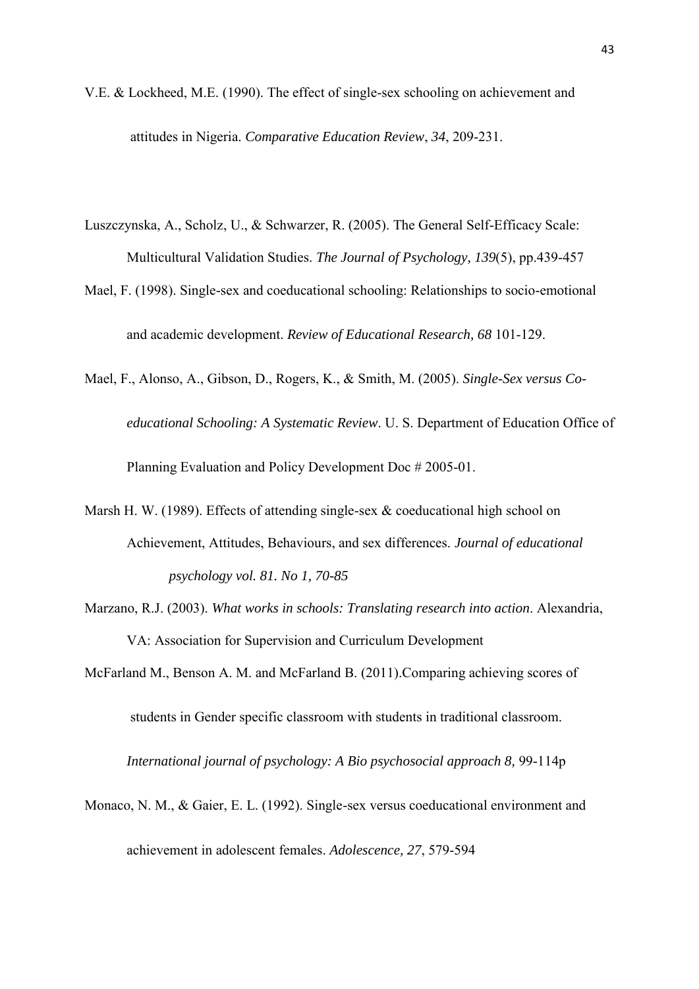- V.E. & Lockheed, M.E. (1990). The effect of single-sex schooling on achievement and attitudes in Nigeria. *Comparative Education Review*, *34*, 209-231.
- Luszczynska, A., Scholz, U., & Schwarzer, R. (2005). The General Self-Efficacy Scale: Multicultural Validation Studies. *The Journal of Psychology, 139*(5), pp.439-457
- Mael, F. (1998). Single-sex and coeducational schooling: Relationships to socio-emotional and academic development. *Review of Educational Research, 68* 101-129.
- Mael, F., Alonso, A., Gibson, D., Rogers, K., & Smith, M. (2005). *Single-Sex versus Co educational Schooling: A Systematic Review*. U. S. Department of Education Office of Planning Evaluation and Policy Development Doc # 2005-01.
- Marsh H. W. (1989). Effects of attending single-sex & coeducational high school on Achievement, Attitudes, Behaviours, and sex differences. *Journal of educational psychology vol. 81. No 1, 70-85*
- Marzano, R.J. (2003). *What works in schools: Translating research into action*. Alexandria, VA: Association for Supervision and Curriculum Development

McFarland M., Benson A. M. and McFarland B. (2011).Comparing achieving scores of

students in Gender specific classroom with students in traditional classroom.

*International journal of psychology: A Bio psychosocial approach 8,* 99-114p

Monaco, N. M., & Gaier, E. L. (1992). Single-sex versus coeducational environment and achievement in adolescent females. *Adolescence, 27*, 579-594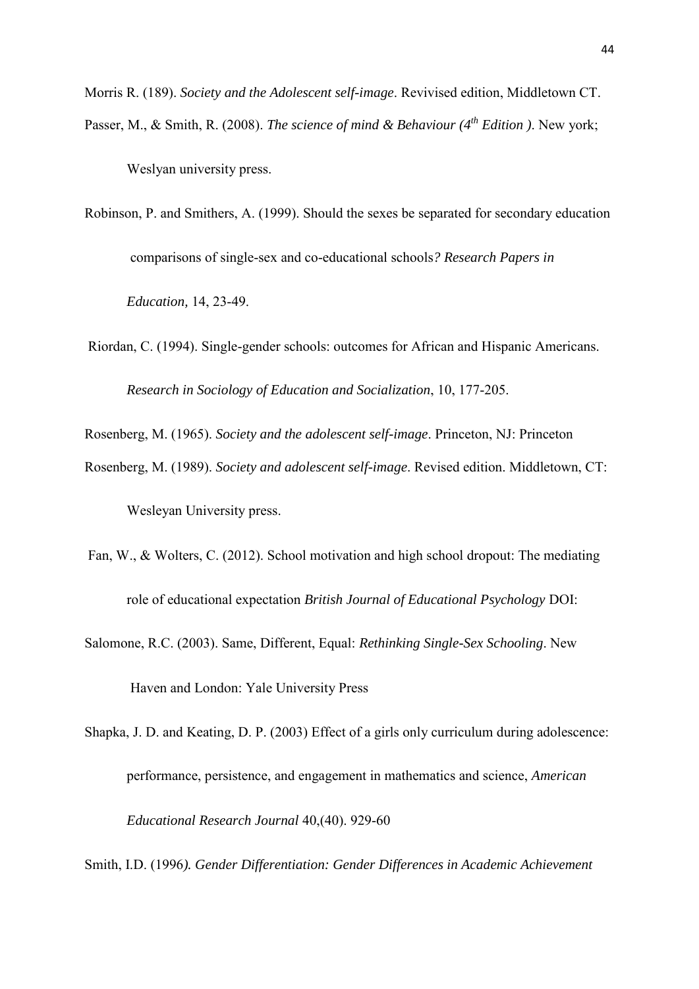Morris R. (189). *Society and the Adolescent self-image*. Revivised edition, Middletown CT. Passer, M., & Smith, R. (2008). *The science of mind & Behaviour (4th Edition )*. New york;

Weslyan university press.

- Robinson, P. and Smithers, A. (1999). Should the sexes be separated for secondary education comparisons of single-sex and co-educational schools*? Research Papers in Education,* 14, 23-49.
- Riordan, C. (1994). Single-gender schools: outcomes for African and Hispanic Americans.  *Research in Sociology of Education and Socialization*, 10, 177-205.

Rosenberg, M. (1965). *Society and the adolescent self-image*. Princeton, NJ: Princeton

- Rosenberg, M. (1989). *Society and adolescent self-image*. Revised edition. Middletown, CT: Wesleyan University press.
- Fan, W., & Wolters, C. (2012). School motivation and high school dropout: The mediating role of educational expectation *British Journal of Educational Psychology* DOI:
- Salomone, R.C. (2003). Same, Different, Equal: *Rethinking Single-Sex Schooling*. New

Haven and London: Yale University Press

Shapka, J. D. and Keating, D. P. (2003) Effect of a girls only curriculum during adolescence: performance, persistence, and engagement in mathematics and science, *American Educational Research Journal* 40,(40). 929-60

Smith, I.D. (1996*). Gender Differentiation: Gender Differences in Academic Achievement*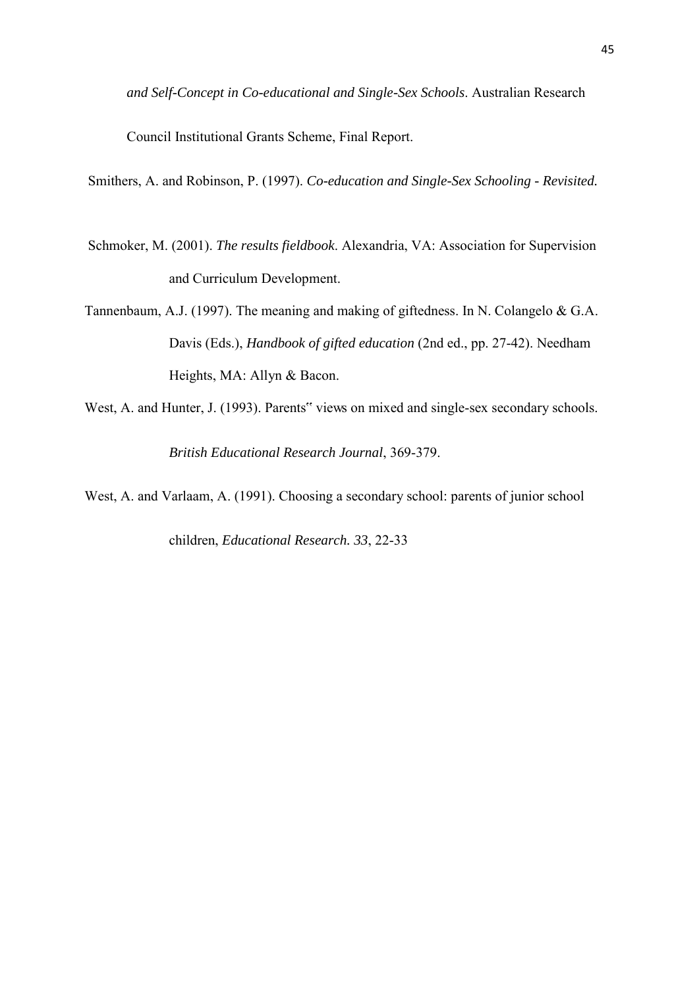*and Self-Concept in Co-educational and Single-Sex Schools*. Australian Research

Council Institutional Grants Scheme, Final Report.

Smithers, A. and Robinson, P. (1997). *Co-education and Single-Sex Schooling - Revisited.* 

- Schmoker, M. (2001). *The results fieldbook*. Alexandria, VA: Association for Supervision and Curriculum Development.
- Tannenbaum, A.J. (1997). The meaning and making of giftedness. In N. Colangelo & G.A. Davis (Eds.), *Handbook of gifted education* (2nd ed., pp. 27-42). Needham Heights, MA: Allyn & Bacon.
- West, A. and Hunter, J. (1993). Parents" views on mixed and single-sex secondary schools.  *British Educational Research Journal*, 369-379.

West, A. and Varlaam, A. (1991). Choosing a secondary school: parents of junior school

children, *Educational Research. 33*, 22-33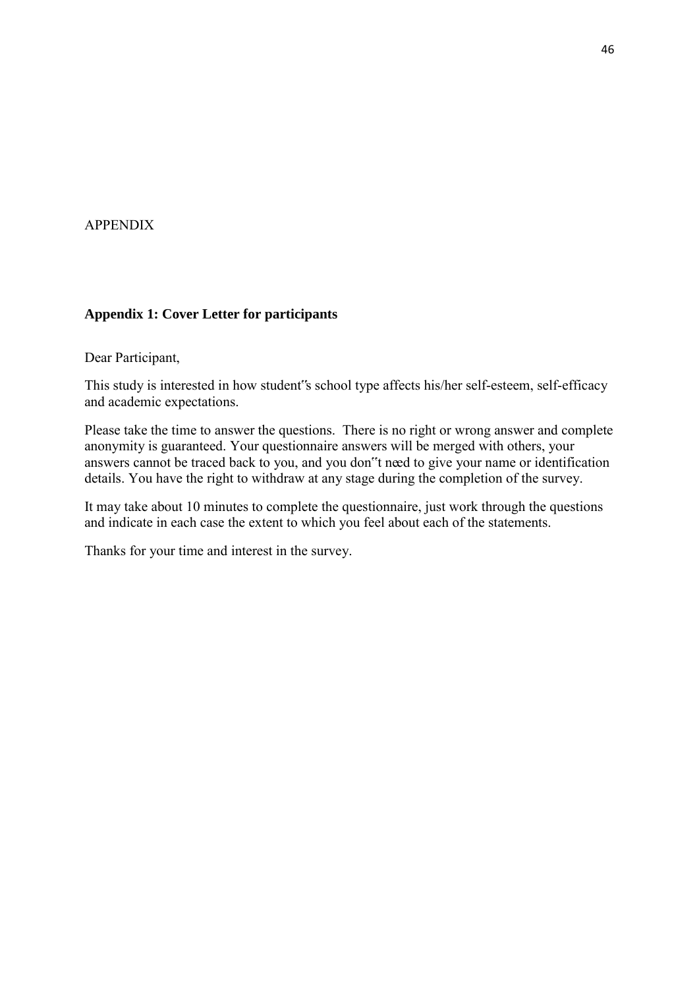## APPENDIX

## **Appendix 1: Cover Letter for participants**

Dear Participant,

This study is interested in how student"s school type affects his/her self-esteem, self-efficacy and academic expectations.

Please take the time to answer the questions. There is no right or wrong answer and complete anonymity is guaranteed. Your questionnaire answers will be merged with others, your answers cannot be traced back to you, and you don"t need to give your name or identification details. You have the right to withdraw at any stage during the completion of the survey.

It may take about 10 minutes to complete the questionnaire, just work through the questions and indicate in each case the extent to which you feel about each of the statements.

Thanks for your time and interest in the survey.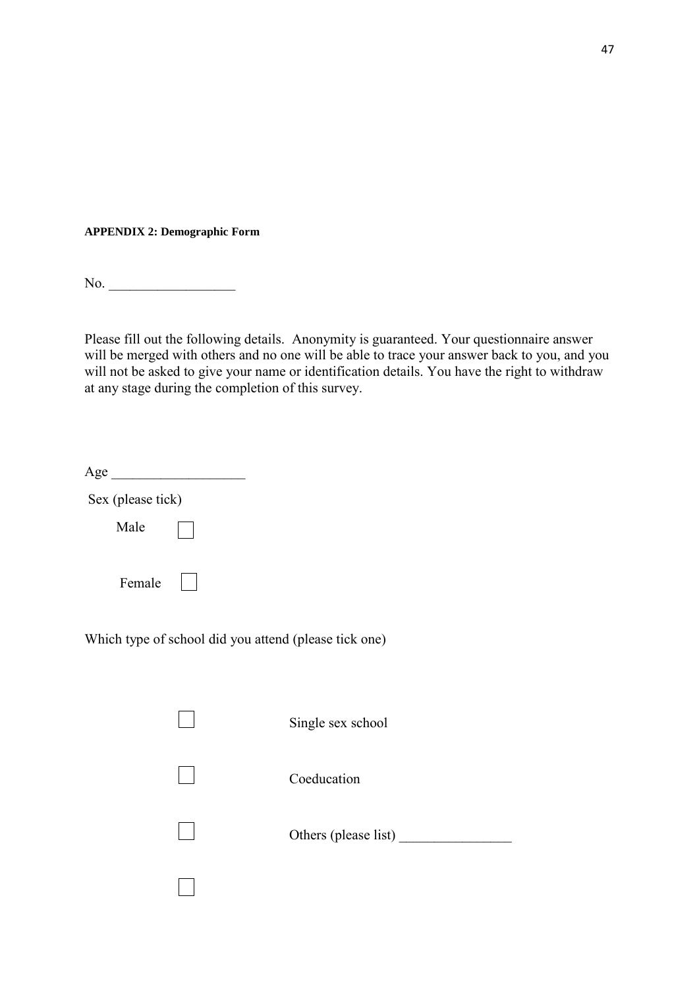**APPENDIX 2: Demographic Form** 

No. \_\_\_\_\_\_\_\_\_\_\_\_\_\_\_\_\_\_

Please fill out the following details. Anonymity is guaranteed. Your questionnaire answer will be merged with others and no one will be able to trace your answer back to you, and you will not be asked to give your name or identification details. You have the right to withdraw at any stage during the completion of this survey.

| Age               |                                                       |                      |
|-------------------|-------------------------------------------------------|----------------------|
| Sex (please tick) |                                                       |                      |
| Male              |                                                       |                      |
| Female            |                                                       |                      |
|                   | Which type of school did you attend (please tick one) |                      |
|                   |                                                       | Single sex school    |
|                   |                                                       | Coeducation          |
|                   |                                                       | Others (please list) |
|                   |                                                       |                      |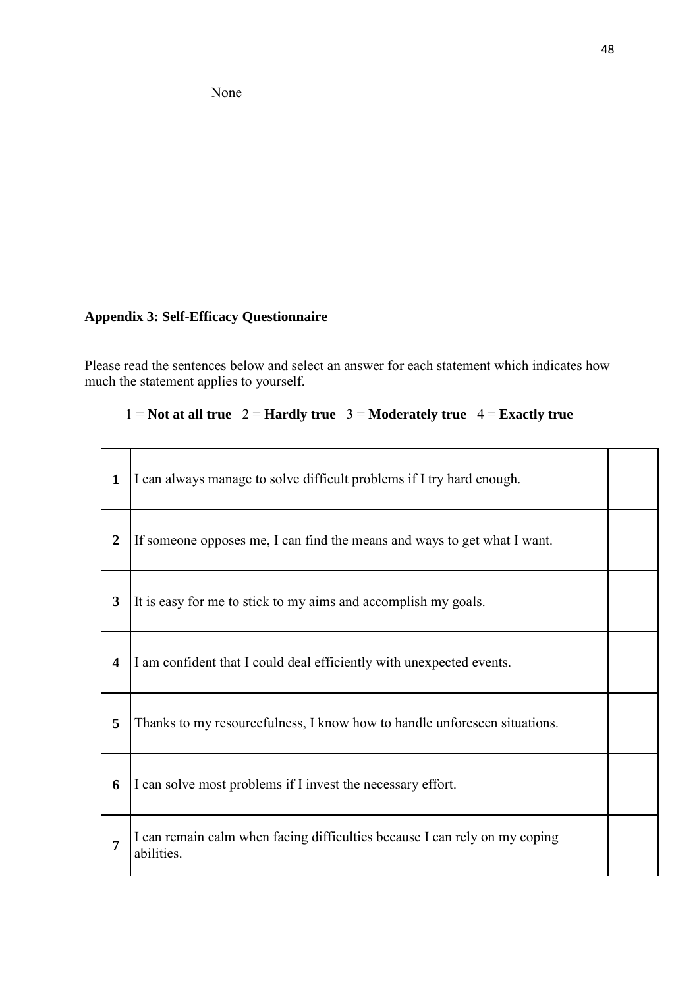None

# **Appendix 3: Self-Efficacy Questionnaire**

Please read the sentences below and select an answer for each statement which indicates how much the statement applies to yourself.

# 1 = **Not at all true**  $2 =$  **Hardly true**  $3 =$  **Moderately true**  $4 =$  **Exactly true**

| 1                       | I can always manage to solve difficult problems if I try hard enough.                    |  |
|-------------------------|------------------------------------------------------------------------------------------|--|
| $\overline{2}$          | If someone opposes me, I can find the means and ways to get what I want.                 |  |
| $\overline{\mathbf{3}}$ | It is easy for me to stick to my aims and accomplish my goals.                           |  |
| 4                       | I am confident that I could deal efficiently with unexpected events.                     |  |
| 5                       | Thanks to my resourcefulness, I know how to handle unforeseen situations.                |  |
| 6                       | I can solve most problems if I invest the necessary effort.                              |  |
| 7                       | I can remain calm when facing difficulties because I can rely on my coping<br>abilities. |  |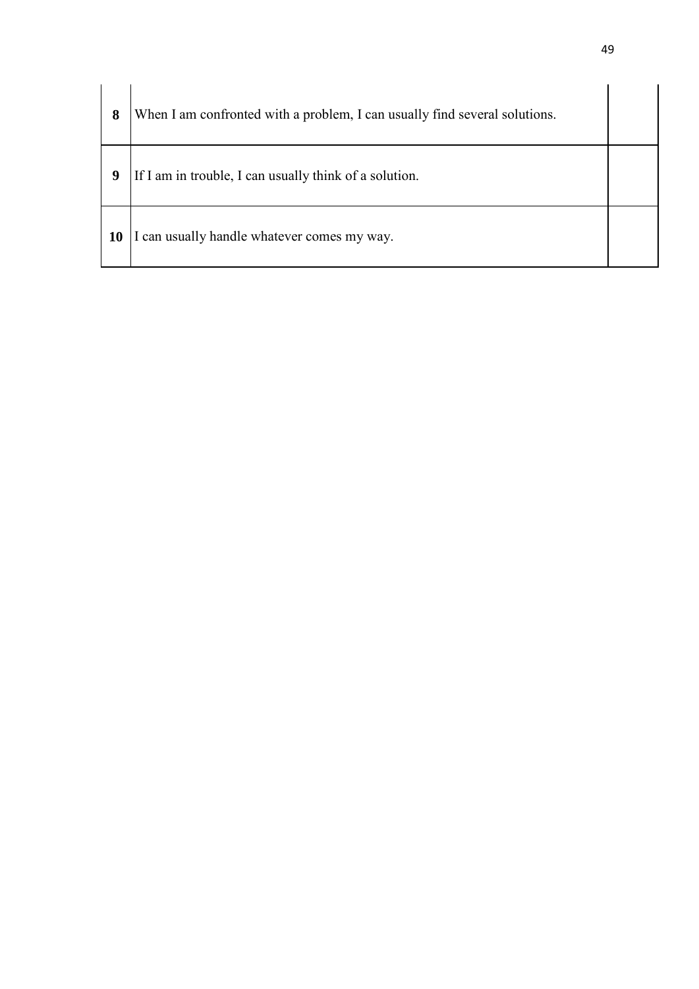| 8  | When I am confronted with a problem, I can usually find several solutions. |  |
|----|----------------------------------------------------------------------------|--|
| 9  | If I am in trouble, I can usually think of a solution.                     |  |
| 10 | I can usually handle whatever comes my way.                                |  |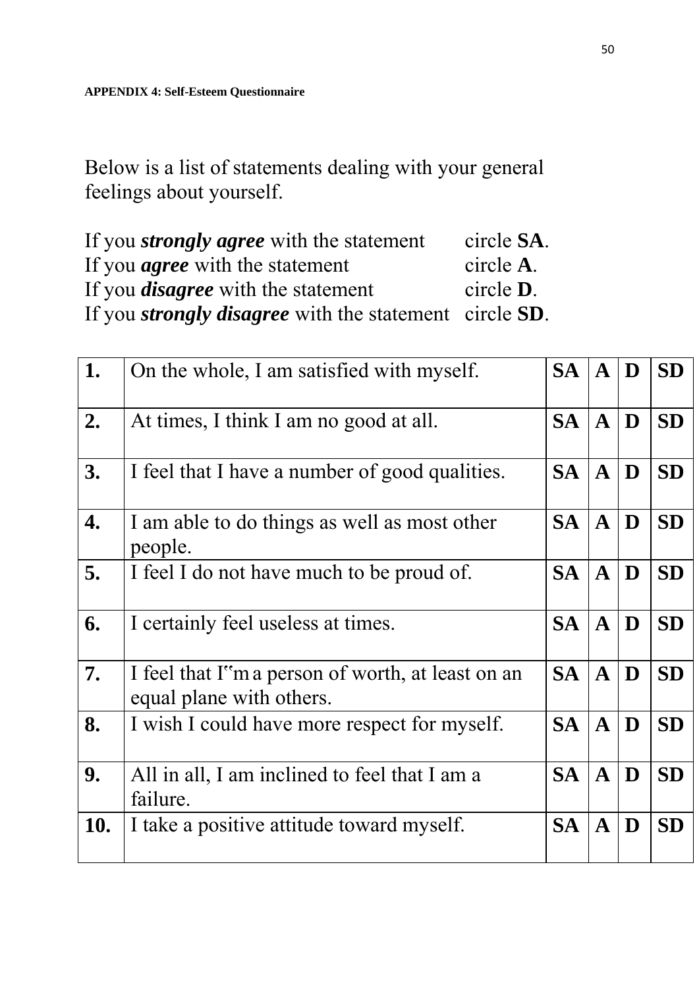Below is a list of statements dealing with your general feelings about yourself.

| If you <i>strongly agree</i> with the statement                       | circle SA.        |
|-----------------------------------------------------------------------|-------------------|
| If you <i>agree</i> with the statement                                | circle A.         |
| If you <i>disagree</i> with the statement                             | circle <b>D</b> . |
| If you <i>strongly disagree</i> with the statement circle <b>SD</b> . |                   |

| 1.  | On the whole, I am satisfied with myself.                                      | <b>SA</b> | $\mathbf{A}$ | D | <b>SD</b> |
|-----|--------------------------------------------------------------------------------|-----------|--------------|---|-----------|
| 2.  | At times, I think I am no good at all.                                         | <b>SA</b> | $\mathbf{A}$ | D | <b>SD</b> |
| 3.  | I feel that I have a number of good qualities.                                 | <b>SA</b> | $\mathbf{A}$ | D | <b>SD</b> |
| 4.  | I am able to do things as well as most other<br>people.                        | <b>SA</b> | $\mathbf{A}$ | D | <b>SD</b> |
| 5.  | I feel I do not have much to be proud of.                                      | <b>SA</b> | $\mathbf{A}$ | D | <b>SD</b> |
| 6.  | I certainly feel useless at times.                                             | <b>SA</b> | $\mathbf{A}$ | D | <b>SD</b> |
| 7.  | I feel that I''m a person of worth, at least on an<br>equal plane with others. | <b>SA</b> | $\mathbf{A}$ | D | <b>SD</b> |
| 8.  | I wish I could have more respect for myself.                                   | <b>SA</b> | $\mathbf{A}$ | D | <b>SD</b> |
| 9.  | All in all, I am inclined to feel that I am a<br>failure.                      | <b>SA</b> | $\mathbf{A}$ | D | <b>SD</b> |
| 10. | I take a positive attitude toward myself.                                      | <b>SA</b> | $\mathbf{A}$ | D | <b>SD</b> |